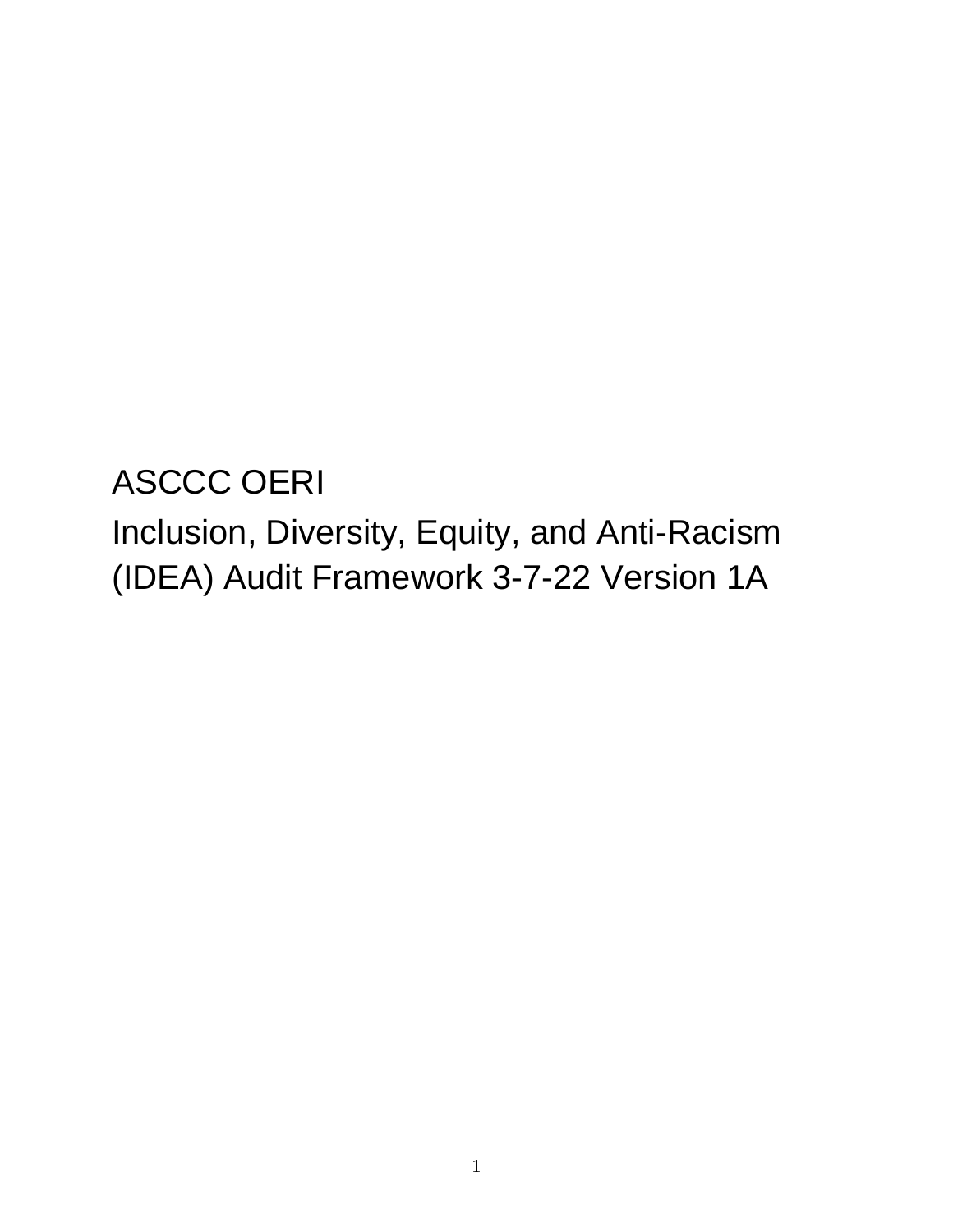ASCCC OERI Inclusion, Diversity, Equity, and Anti-Racism (IDEA) Audit Framework 3-7-22 Version 1A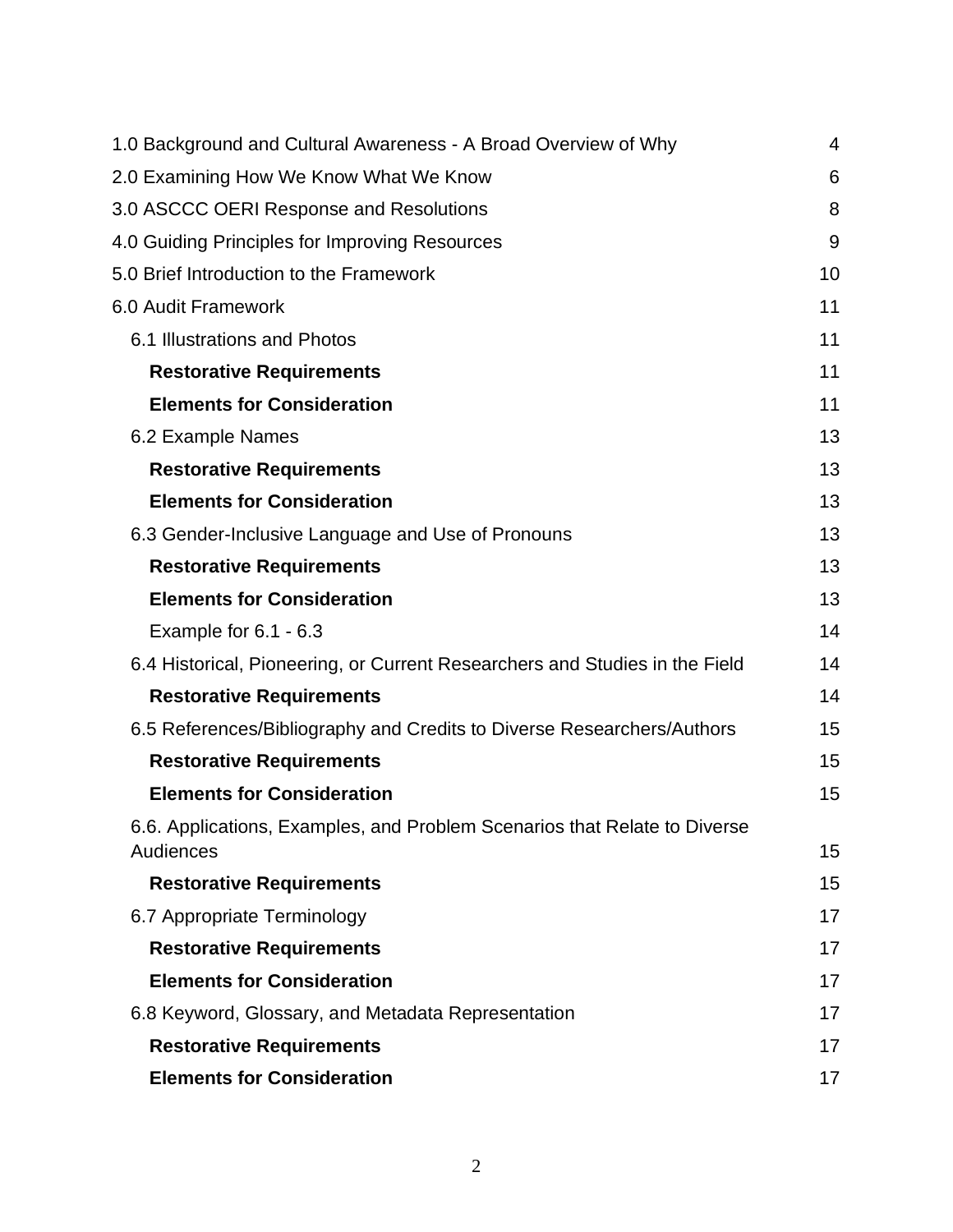| 1.0 Background and Cultural Awareness - A Broad Overview of Why             | 4  |
|-----------------------------------------------------------------------------|----|
| 2.0 Examining How We Know What We Know                                      | 6  |
| 3.0 ASCCC OERI Response and Resolutions                                     | 8  |
| 4.0 Guiding Principles for Improving Resources                              | 9  |
| 5.0 Brief Introduction to the Framework                                     | 10 |
| 6.0 Audit Framework                                                         | 11 |
| 6.1 Illustrations and Photos                                                | 11 |
| <b>Restorative Requirements</b>                                             | 11 |
| <b>Elements for Consideration</b>                                           | 11 |
| 6.2 Example Names                                                           | 13 |
| <b>Restorative Requirements</b>                                             | 13 |
| <b>Elements for Consideration</b>                                           | 13 |
| 6.3 Gender-Inclusive Language and Use of Pronouns                           | 13 |
| <b>Restorative Requirements</b>                                             | 13 |
| <b>Elements for Consideration</b>                                           | 13 |
| Example for $6.1 - 6.3$                                                     | 14 |
| 6.4 Historical, Pioneering, or Current Researchers and Studies in the Field | 14 |
| <b>Restorative Requirements</b>                                             | 14 |
| 6.5 References/Bibliography and Credits to Diverse Researchers/Authors      | 15 |
| <b>Restorative Requirements</b>                                             | 15 |
| <b>Elements for Consideration</b>                                           | 15 |
| 6.6. Applications, Examples, and Problem Scenarios that Relate to Diverse   |    |
| Audiences                                                                   | 15 |
| <b>Restorative Requirements</b>                                             | 15 |
| 6.7 Appropriate Terminology                                                 | 17 |
| <b>Restorative Requirements</b>                                             | 17 |
| <b>Elements for Consideration</b>                                           | 17 |
| 6.8 Keyword, Glossary, and Metadata Representation                          | 17 |
| <b>Restorative Requirements</b>                                             | 17 |
| <b>Elements for Consideration</b>                                           | 17 |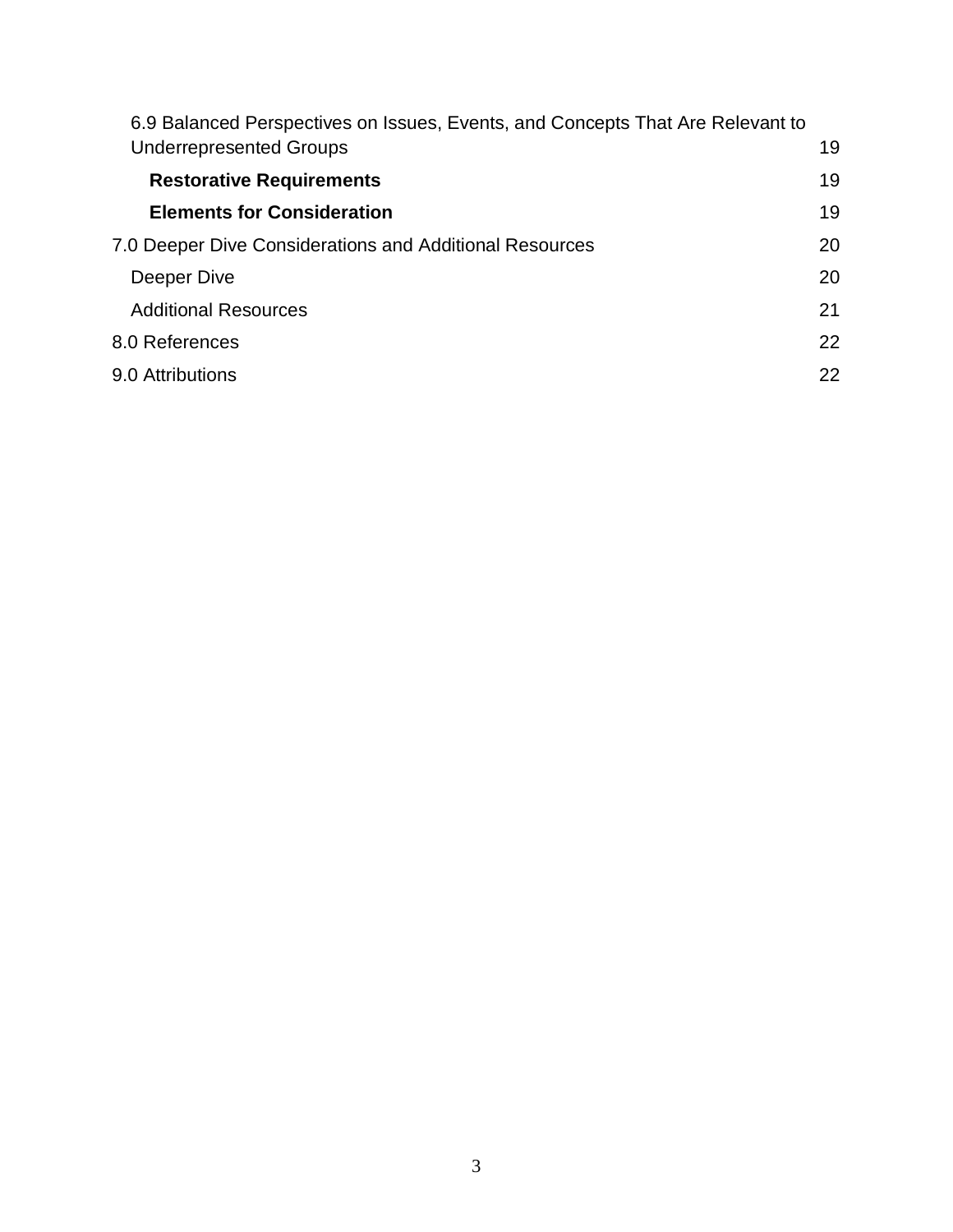| 6.9 Balanced Perspectives on Issues, Events, and Concepts That Are Relevant to |    |
|--------------------------------------------------------------------------------|----|
| <b>Underrepresented Groups</b>                                                 | 19 |
| <b>Restorative Requirements</b>                                                | 19 |
| <b>Elements for Consideration</b>                                              | 19 |
| 7.0 Deeper Dive Considerations and Additional Resources                        | 20 |
| Deeper Dive                                                                    | 20 |
| <b>Additional Resources</b>                                                    | 21 |
| 8.0 References                                                                 | 22 |
| 9.0 Attributions                                                               | 22 |
|                                                                                |    |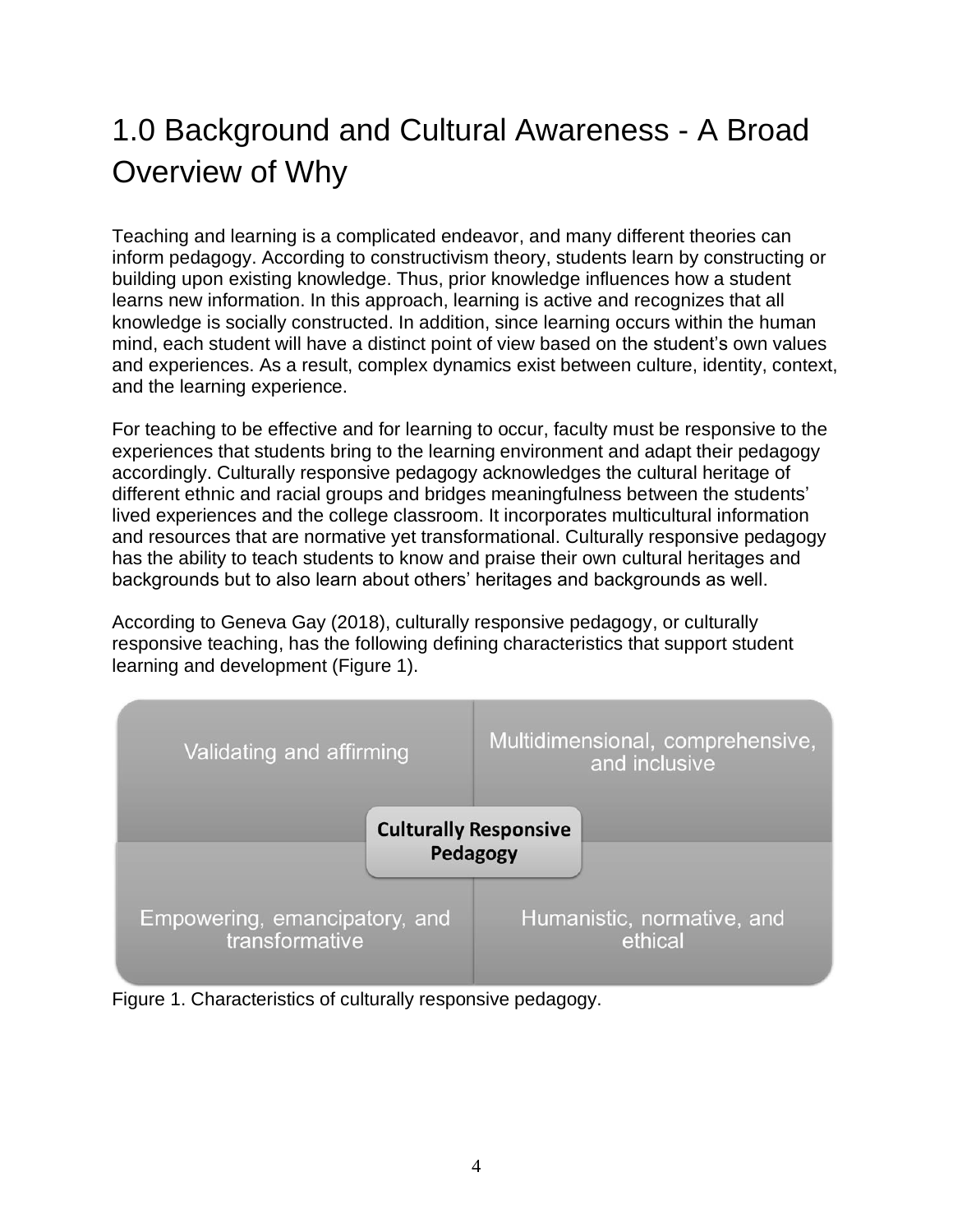# <span id="page-3-0"></span>1.0 Background and Cultural Awareness - A Broad Overview of Why

Teaching and learning is a complicated endeavor, and many different theories can inform pedagogy. According to constructivism theory, students learn by constructing or building upon existing knowledge. Thus, prior knowledge influences how a student learns new information. In this approach, learning is active and recognizes that all knowledge is socially constructed. In addition, since learning occurs within the human mind, each student will have a distinct point of view based on the student's own values and experiences. As a result, complex dynamics exist between culture, identity, context, and the learning experience.

For teaching to be effective and for learning to occur, faculty must be responsive to the experiences that students bring to the learning environment and adapt their pedagogy accordingly. Culturally responsive pedagogy acknowledges the cultural heritage of different ethnic and racial groups and bridges meaningfulness between the students' lived experiences and the college classroom. It incorporates multicultural information and resources that are normative yet transformational. Culturally responsive pedagogy has the ability to teach students to know and praise their own cultural heritages and backgrounds but to also learn about others' heritages and backgrounds as well.

According to Geneva Gay (2018), culturally responsive pedagogy, or culturally responsive teaching, has the following defining characteristics that support student learning and development (Figure 1).



Figure 1. Characteristics of culturally responsive pedagogy.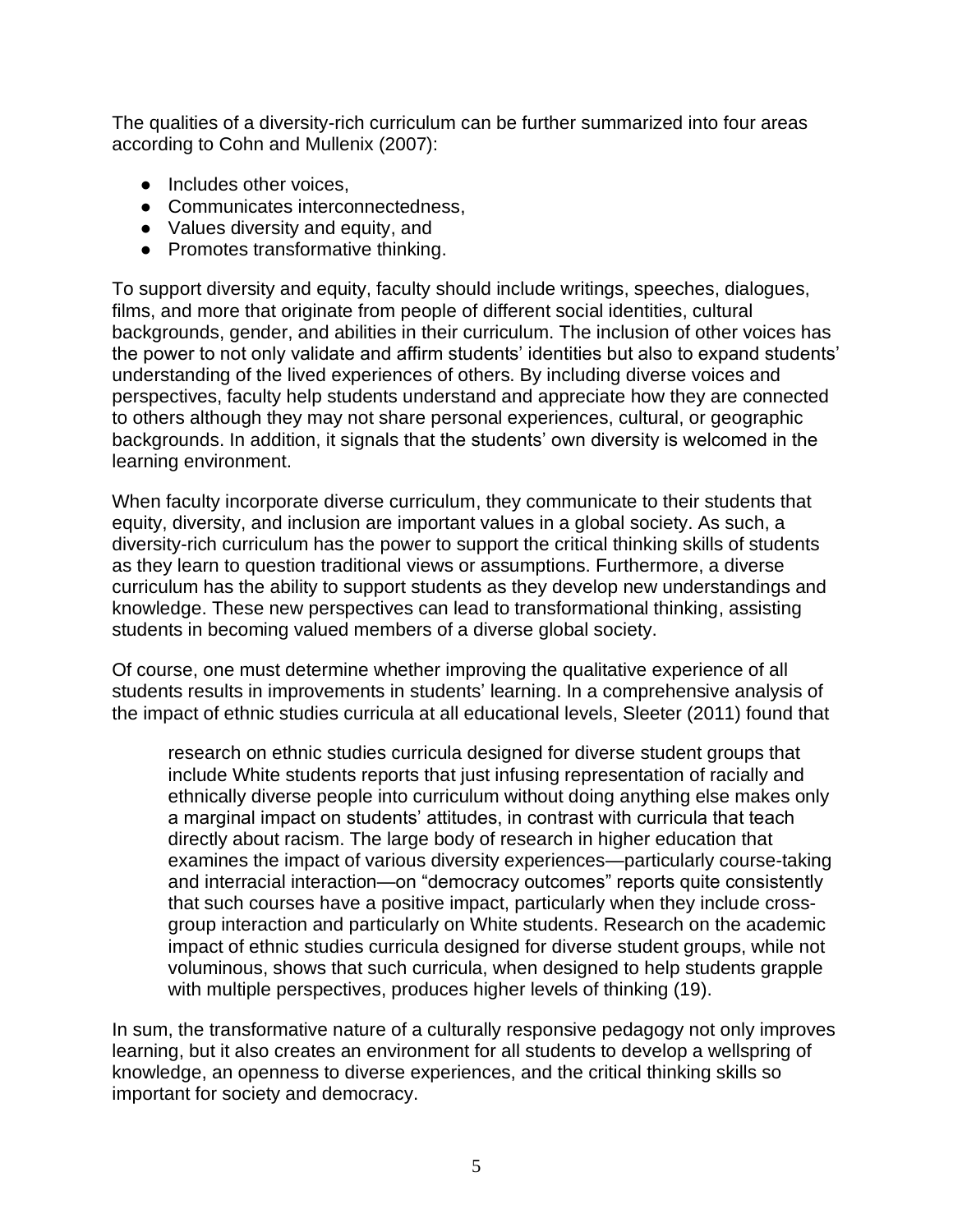The qualities of a diversity-rich curriculum can be further summarized into four areas according to Cohn and Mullenix (2007):

- Includes other voices,
- Communicates interconnectedness,
- Values diversity and equity, and
- Promotes transformative thinking.

To support diversity and equity, faculty should include writings, speeches, dialogues, films, and more that originate from people of different social identities, cultural backgrounds, gender, and abilities in their curriculum. The inclusion of other voices has the power to not only validate and affirm students' identities but also to expand students' understanding of the lived experiences of others. By including diverse voices and perspectives, faculty help students understand and appreciate how they are connected to others although they may not share personal experiences, cultural, or geographic backgrounds. In addition, it signals that the students' own diversity is welcomed in the learning environment.

When faculty incorporate diverse curriculum, they communicate to their students that equity, diversity, and inclusion are important values in a global society. As such, a diversity-rich curriculum has the power to support the critical thinking skills of students as they learn to question traditional views or assumptions. Furthermore, a diverse curriculum has the ability to support students as they develop new understandings and knowledge. These new perspectives can lead to transformational thinking, assisting students in becoming valued members of a diverse global society.

Of course, one must determine whether improving the qualitative experience of all students results in improvements in students' learning. In a comprehensive analysis of the impact of ethnic studies curricula at all educational levels, Sleeter (2011) found that

research on ethnic studies curricula designed for diverse student groups that include White students reports that just infusing representation of racially and ethnically diverse people into curriculum without doing anything else makes only a marginal impact on students' attitudes, in contrast with curricula that teach directly about racism. The large body of research in higher education that examines the impact of various diversity experiences—particularly course-taking and interracial interaction—on "democracy outcomes" reports quite consistently that such courses have a positive impact, particularly when they include crossgroup interaction and particularly on White students. Research on the academic impact of ethnic studies curricula designed for diverse student groups, while not voluminous, shows that such curricula, when designed to help students grapple with multiple perspectives, produces higher levels of thinking (19).

In sum, the transformative nature of a culturally responsive pedagogy not only improves learning, but it also creates an environment for all students to develop a wellspring of knowledge, an openness to diverse experiences, and the critical thinking skills so important for society and democracy.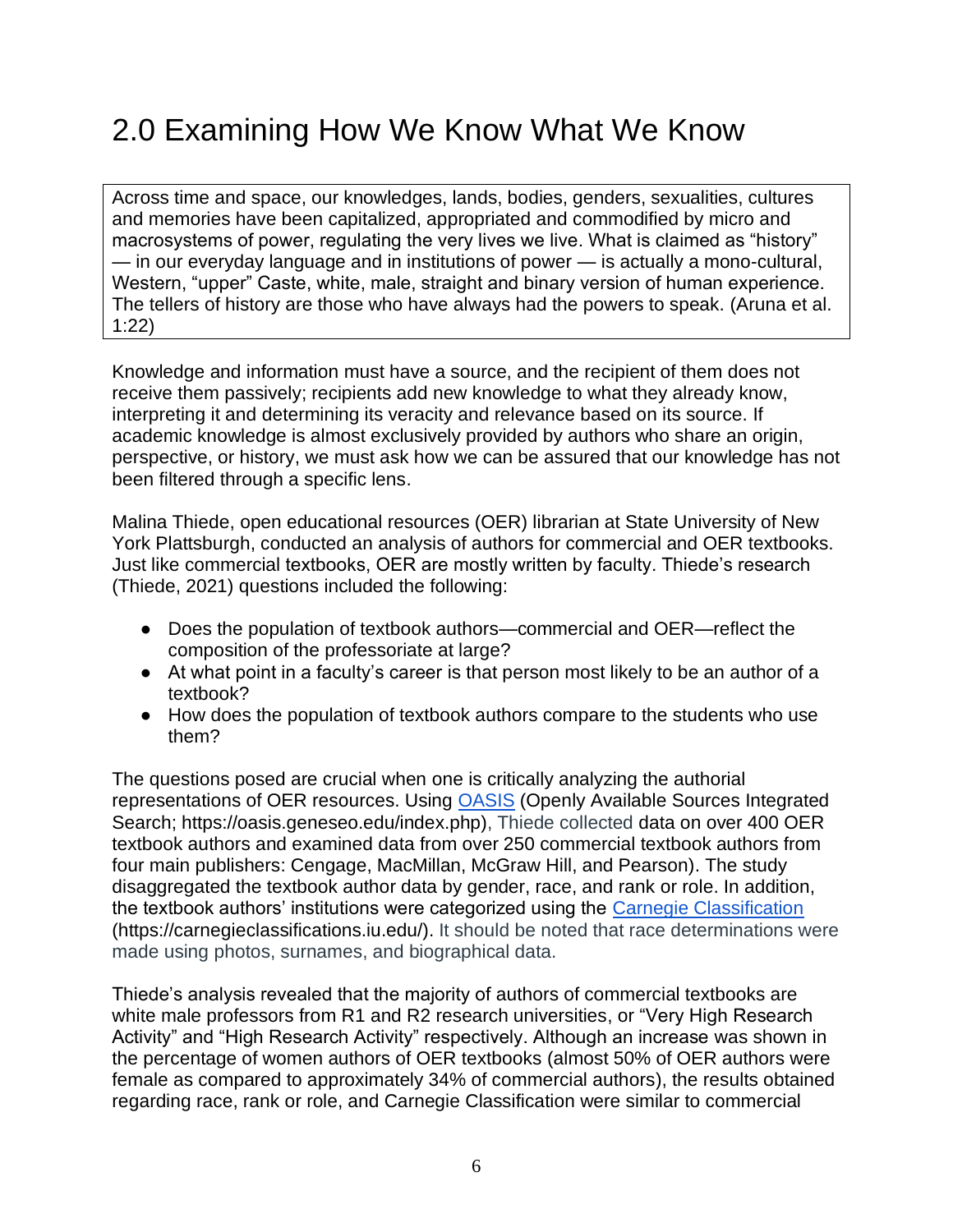# <span id="page-5-0"></span>2.0 Examining How We Know What We Know

Across time and space, our knowledges, lands, bodies, genders, sexualities, cultures and memories have been capitalized, appropriated and commodified by micro and macrosystems of power, regulating the very lives we live. What is claimed as "history" — in our everyday language and in institutions of power — is actually a mono-cultural, Western, "upper" Caste, white, male, straight and binary version of human experience. The tellers of history are those who have always had the powers to speak. (Aruna et al. 1:22)

Knowledge and information must have a source, and the recipient of them does not receive them passively; recipients add new knowledge to what they already know, interpreting it and determining its veracity and relevance based on its source. If academic knowledge is almost exclusively provided by authors who share an origin, perspective, or history, we must ask how we can be assured that our knowledge has not been filtered through a specific lens.

Malina Thiede, open educational resources (OER) librarian at State University of New York Plattsburgh, conducted an analysis of authors for commercial and OER textbooks. Just like commercial textbooks, OER are mostly written by faculty. Thiede's research (Thiede, 2021) questions included the following:

- Does the population of textbook authors—commercial and OER—reflect the composition of the professoriate at large?
- At what point in a faculty's career is that person most likely to be an author of a textbook?
- How does the population of textbook authors compare to the students who use them?

The questions posed are crucial when one is critically analyzing the authorial representations of OER resources. Using [OASIS](https://oasis.geneseo.edu/index.php) (Openly Available Sources Integrated Search; https://oasis.geneseo.edu/index.php), Thiede collected data on over 400 OER textbook authors and examined data from over 250 commercial textbook authors from four main publishers: Cengage, MacMillan, McGraw Hill, and Pearson). The study disaggregated the textbook author data by gender, race, and rank or role. In addition, the textbook authors' institutions were categorized using the [Carnegie Classification](https://carnegieclassifications.iu.edu/) (https://carnegieclassifications.iu.edu/). It should be noted that race determinations were made using photos, surnames, and biographical data.

Thiede's analysis revealed that the majority of authors of commercial textbooks are white male professors from R1 and R2 research universities, or "Very High Research Activity" and "High Research Activity" respectively. Although an increase was shown in the percentage of women authors of OER textbooks (almost 50% of OER authors were female as compared to approximately 34% of commercial authors), the results obtained regarding race, rank or role, and Carnegie Classification were similar to commercial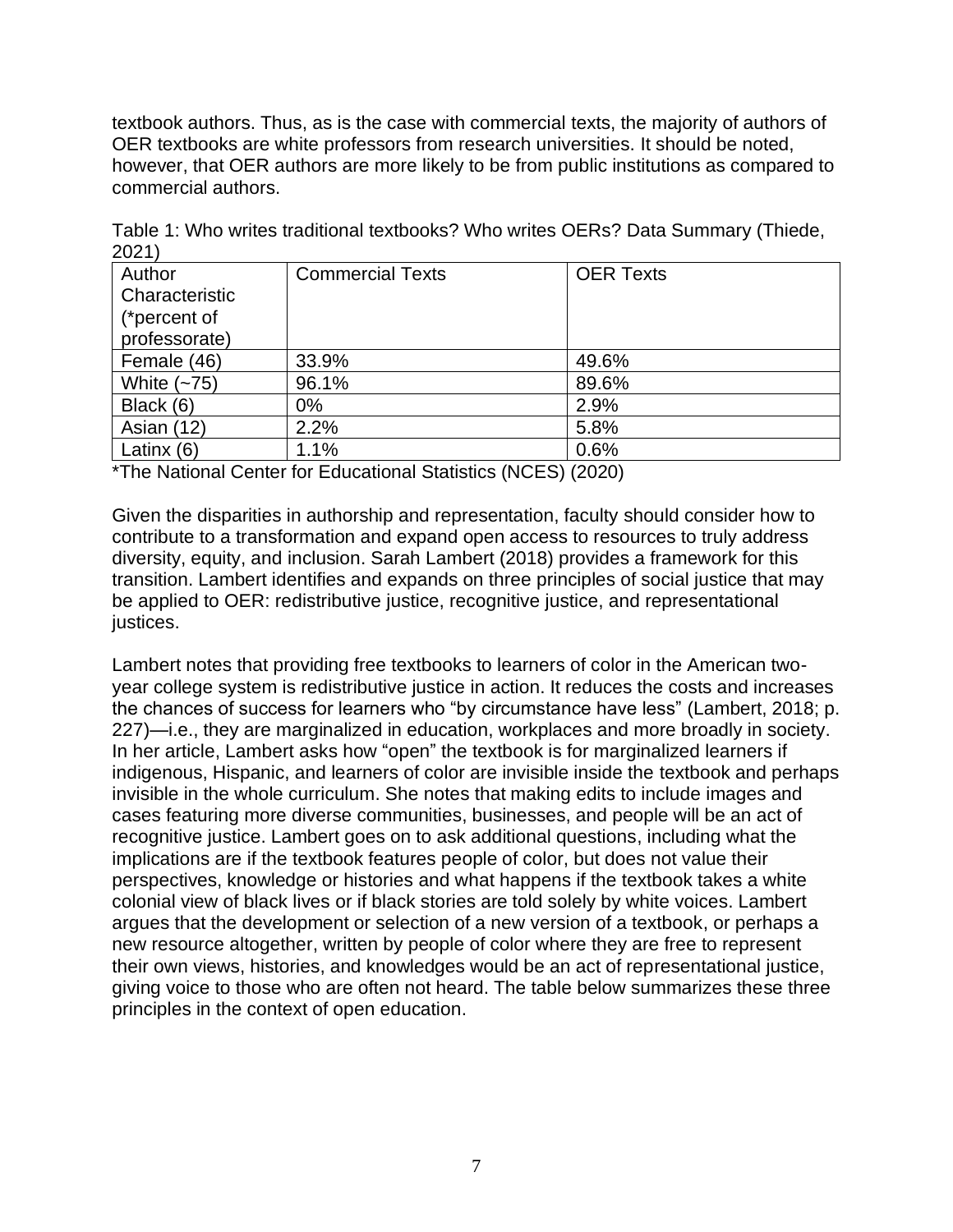textbook authors. Thus, as is the case with commercial texts, the majority of authors of OER textbooks are white professors from research universities. It should be noted, however, that OER authors are more likely to be from public institutions as compared to commercial authors.

| 202 I          |                         |                  |
|----------------|-------------------------|------------------|
| Author         | <b>Commercial Texts</b> | <b>OER Texts</b> |
| Characteristic |                         |                  |
| (*percent of   |                         |                  |
| professorate)  |                         |                  |
| Female (46)    | 33.9%                   | 49.6%            |
| White $(-75)$  | 96.1%                   | 89.6%            |
| Black (6)      | $0\%$                   | 2.9%             |
| Asian (12)     | 2.2%                    | 5.8%             |
| Latinx (6)     | 1.1%                    | 0.6%             |
|                |                         |                  |

Table 1: Who writes traditional textbooks? Who writes OERs? Data Summary (Thiede, 2021)

\*The National Center for Educational Statistics (NCES) (2020)

Given the disparities in authorship and representation, faculty should consider how to contribute to a transformation and expand open access to resources to truly address diversity, equity, and inclusion. Sarah Lambert (2018) provides a framework for this transition. Lambert identifies and expands on three principles of social justice that may be applied to OER: redistributive justice, recognitive justice, and representational justices.

Lambert notes that providing free textbooks to learners of color in the American twoyear college system is redistributive justice in action. It reduces the costs and increases the chances of success for learners who "by circumstance have less" (Lambert, 2018; p. 227)—i.e., they are marginalized in education, workplaces and more broadly in society. In her article, Lambert asks how "open" the textbook is for marginalized learners if indigenous, Hispanic, and learners of color are invisible inside the textbook and perhaps invisible in the whole curriculum. She notes that making edits to include images and cases featuring more diverse communities, businesses, and people will be an act of recognitive justice. Lambert goes on to ask additional questions, including what the implications are if the textbook features people of color, but does not value their perspectives, knowledge or histories and what happens if the textbook takes a white colonial view of black lives or if black stories are told solely by white voices. Lambert argues that the development or selection of a new version of a textbook, or perhaps a new resource altogether, written by people of color where they are free to represent their own views, histories, and knowledges would be an act of representational justice, giving voice to those who are often not heard. The table below summarizes these three principles in the context of open education.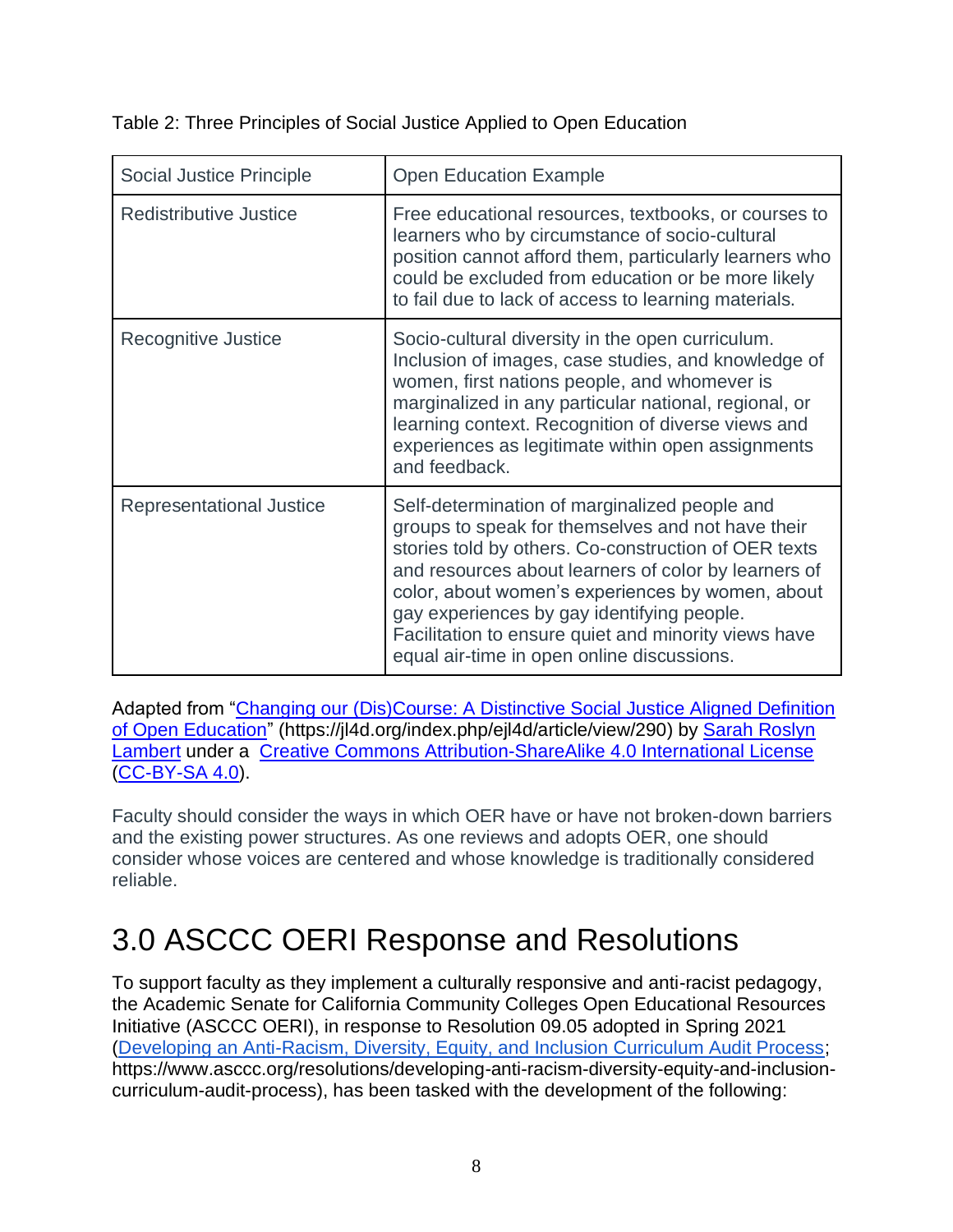| Social Justice Principle      | <b>Open Education Example</b>                                                                                                                                                                                                                                                                                                                                                                                              |
|-------------------------------|----------------------------------------------------------------------------------------------------------------------------------------------------------------------------------------------------------------------------------------------------------------------------------------------------------------------------------------------------------------------------------------------------------------------------|
| <b>Redistributive Justice</b> | Free educational resources, textbooks, or courses to<br>learners who by circumstance of socio-cultural<br>position cannot afford them, particularly learners who<br>could be excluded from education or be more likely<br>to fail due to lack of access to learning materials.                                                                                                                                             |
| Recognitive Justice           | Socio-cultural diversity in the open curriculum.<br>Inclusion of images, case studies, and knowledge of<br>women, first nations people, and whomever is<br>marginalized in any particular national, regional, or<br>learning context. Recognition of diverse views and<br>experiences as legitimate within open assignments<br>and feedback.                                                                               |
| Representational Justice      | Self-determination of marginalized people and<br>groups to speak for themselves and not have their<br>stories told by others. Co-construction of OER texts<br>and resources about learners of color by learners of<br>color, about women's experiences by women, about<br>gay experiences by gay identifying people.<br>Facilitation to ensure quiet and minority views have<br>equal air-time in open online discussions. |

Table 2: Three Principles of Social Justice Applied to Open Education

Adapted from ["Changing our \(Dis\)Course: A Distinctive Social Justice Aligned Definition](https://jl4d.org/index.php/ejl4d/article/view/290)  [of Open Education"](https://jl4d.org/index.php/ejl4d/article/view/290) (https://jl4d.org/index.php/ejl4d/article/view/290) by [Sarah Roslyn](http://orcid.org/0000-0003-2722-9684)  [Lambert](http://orcid.org/0000-0003-2722-9684) under a [Creative Commons Attribution-ShareAlike 4.0 International License](https://creativecommons.org/licenses/by-sa/4.0/) [\(CC-BY-SA 4.0\)](https://creativecommons.org/licenses/by-sa/4.0/).

Faculty should consider the ways in which OER have or have not broken-down barriers and the existing power structures. As one reviews and adopts OER, one should consider whose voices are centered and whose knowledge is traditionally considered reliable.

# <span id="page-7-0"></span>3.0 ASCCC OERI Response and Resolutions

To support faculty as they implement a culturally responsive and anti-racist pedagogy, the Academic Senate for California Community Colleges Open Educational Resources Initiative (ASCCC OERI), in response to Resolution 09.05 adopted in Spring 2021 [\(Developing an Anti-Racism, Diversity, Equity, and Inclusion Curriculum Audit Process;](https://www.asccc.org/resolutions/developing-anti-racism-diversity-equity-and-inclusion-curriculum-audit-process) https://www.asccc.org/resolutions/developing-anti-racism-diversity-equity-and-inclusioncurriculum-audit-process), has been tasked with the development of the following: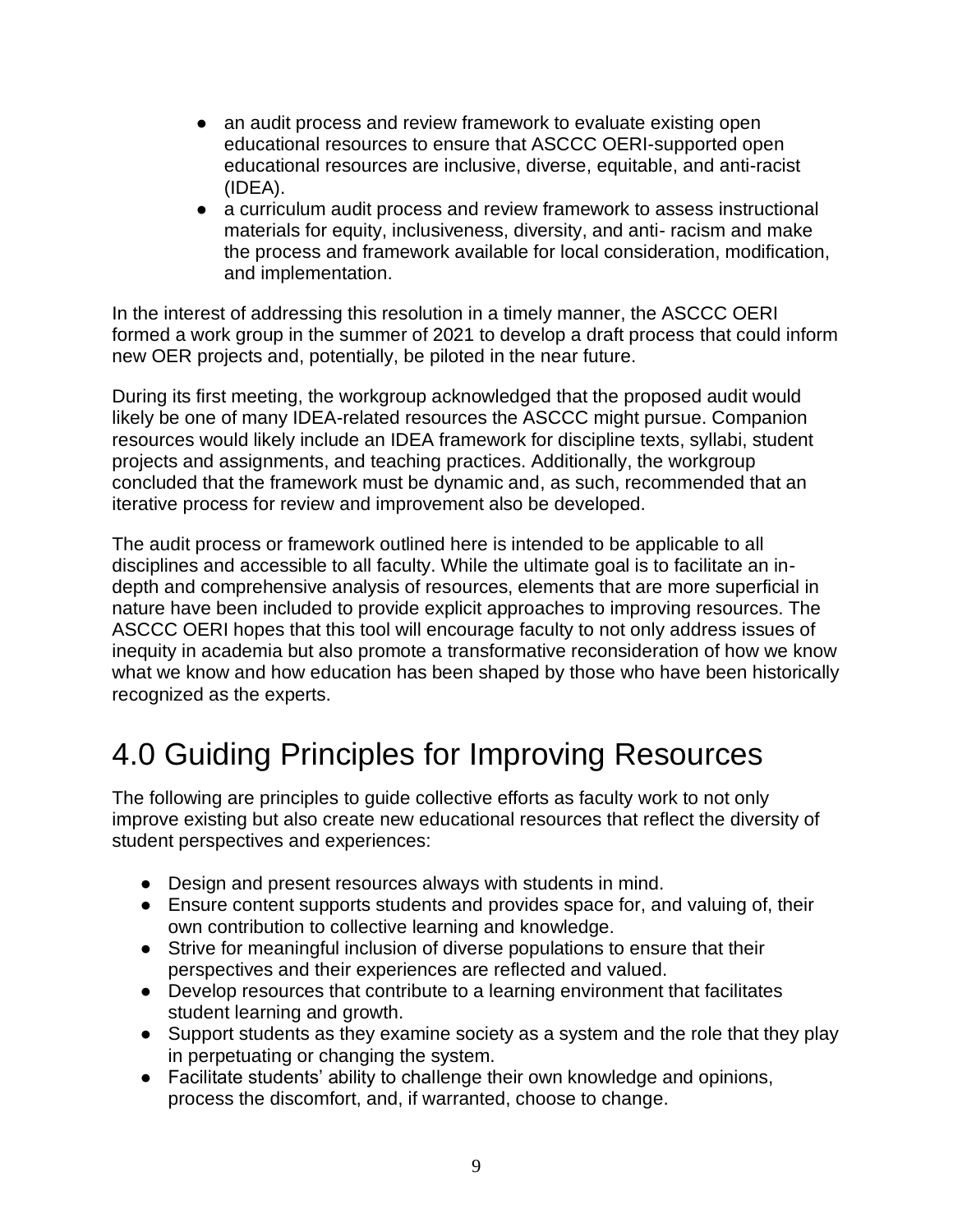- an audit process and review framework to evaluate existing open educational resources to ensure that ASCCC OERI-supported open educational resources are inclusive, diverse, equitable, and anti-racist (IDEA).
- a curriculum audit process and review framework to assess instructional materials for equity, inclusiveness, diversity, and anti- racism and make the process and framework available for local consideration, modification, and implementation.

In the interest of addressing this resolution in a timely manner, the ASCCC OERI formed a work group in the summer of 2021 to develop a draft process that could inform new OER projects and, potentially, be piloted in the near future.

During its first meeting, the workgroup acknowledged that the proposed audit would likely be one of many IDEA-related resources the ASCCC might pursue. Companion resources would likely include an IDEA framework for discipline texts, syllabi, student projects and assignments, and teaching practices. Additionally, the workgroup concluded that the framework must be dynamic and, as such, recommended that an iterative process for review and improvement also be developed.

The audit process or framework outlined here is intended to be applicable to all disciplines and accessible to all faculty. While the ultimate goal is to facilitate an indepth and comprehensive analysis of resources, elements that are more superficial in nature have been included to provide explicit approaches to improving resources. The ASCCC OERI hopes that this tool will encourage faculty to not only address issues of inequity in academia but also promote a transformative reconsideration of how we know what we know and how education has been shaped by those who have been historically recognized as the experts.

# <span id="page-8-0"></span>4.0 Guiding Principles for Improving Resources

The following are principles to guide collective efforts as faculty work to not only improve existing but also create new educational resources that reflect the diversity of student perspectives and experiences:

- Design and present resources always with students in mind.
- Ensure content supports students and provides space for, and valuing of, their own contribution to collective learning and knowledge.
- Strive for meaningful inclusion of diverse populations to ensure that their perspectives and their experiences are reflected and valued.
- Develop resources that contribute to a learning environment that facilitates student learning and growth.
- Support students as they examine society as a system and the role that they play in perpetuating or changing the system.
- Facilitate students' ability to challenge their own knowledge and opinions, process the discomfort, and, if warranted, choose to change.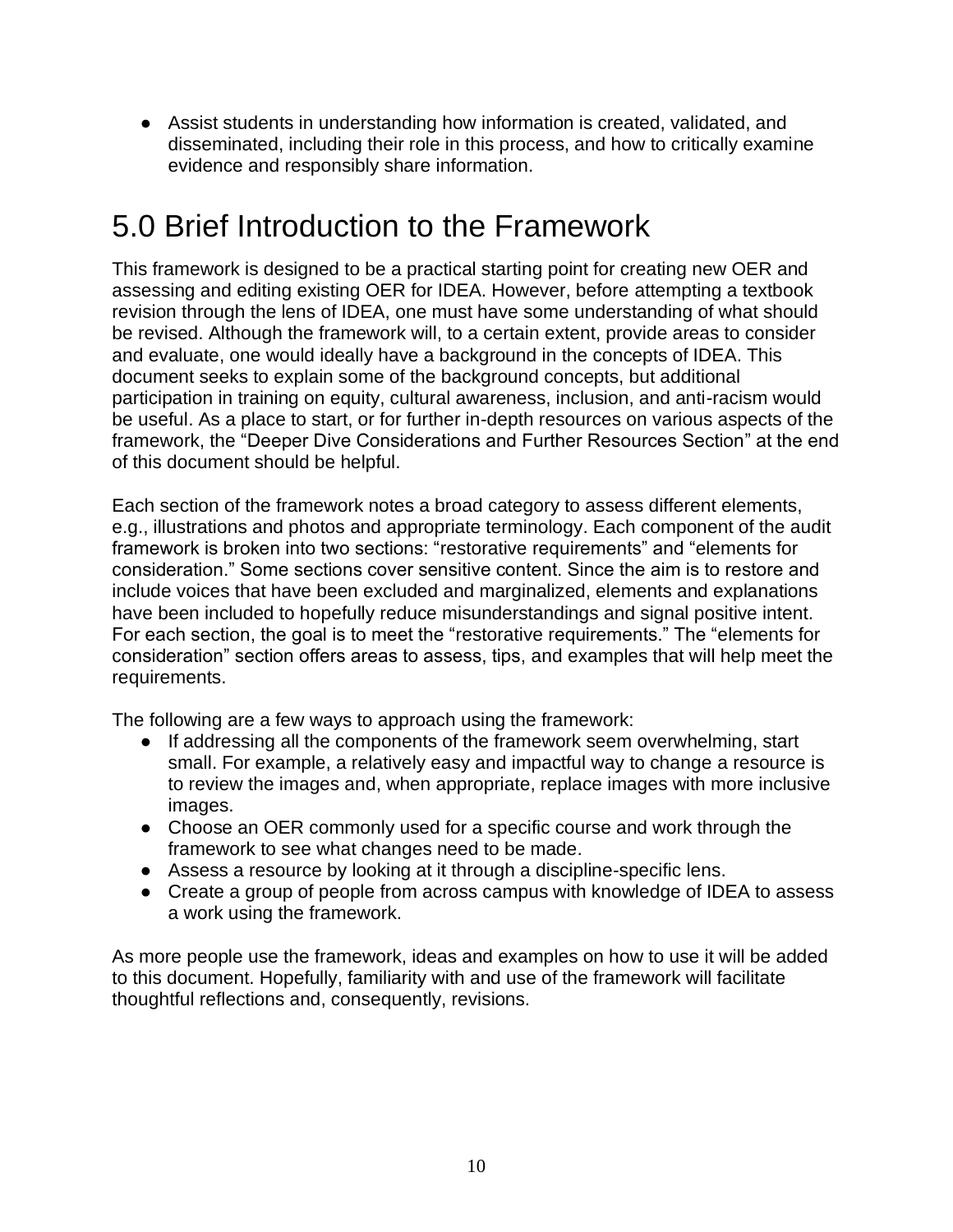● Assist students in understanding how information is created, validated, and disseminated, including their role in this process, and how to critically examine evidence and responsibly share information.

# <span id="page-9-0"></span>5.0 Brief Introduction to the Framework

This framework is designed to be a practical starting point for creating new OER and assessing and editing existing OER for IDEA. However, before attempting a textbook revision through the lens of IDEA, one must have some understanding of what should be revised. Although the framework will, to a certain extent, provide areas to consider and evaluate, one would ideally have a background in the concepts of IDEA. This document seeks to explain some of the background concepts, but additional participation in training on equity, cultural awareness, inclusion, and anti-racism would be useful. As a place to start, or for further in-depth resources on various aspects of the framework, the "Deeper Dive Considerations and Further Resources Section" at the end of this document should be helpful.

Each section of the framework notes a broad category to assess different elements, e.g., illustrations and photos and appropriate terminology. Each component of the audit framework is broken into two sections: "restorative requirements" and "elements for consideration." Some sections cover sensitive content. Since the aim is to restore and include voices that have been excluded and marginalized, elements and explanations have been included to hopefully reduce misunderstandings and signal positive intent. For each section, the goal is to meet the "restorative requirements." The "elements for consideration" section offers areas to assess, tips, and examples that will help meet the requirements.

The following are a few ways to approach using the framework:

- If addressing all the components of the framework seem overwhelming, start small. For example, a relatively easy and impactful way to change a resource is to review the images and, when appropriate, replace images with more inclusive images.
- Choose an OER commonly used for a specific course and work through the framework to see what changes need to be made.
- Assess a resource by looking at it through a discipline-specific lens.
- Create a group of people from across campus with knowledge of IDEA to assess a work using the framework.

As more people use the framework, ideas and examples on how to use it will be added to this document. Hopefully, familiarity with and use of the framework will facilitate thoughtful reflections and, consequently, revisions.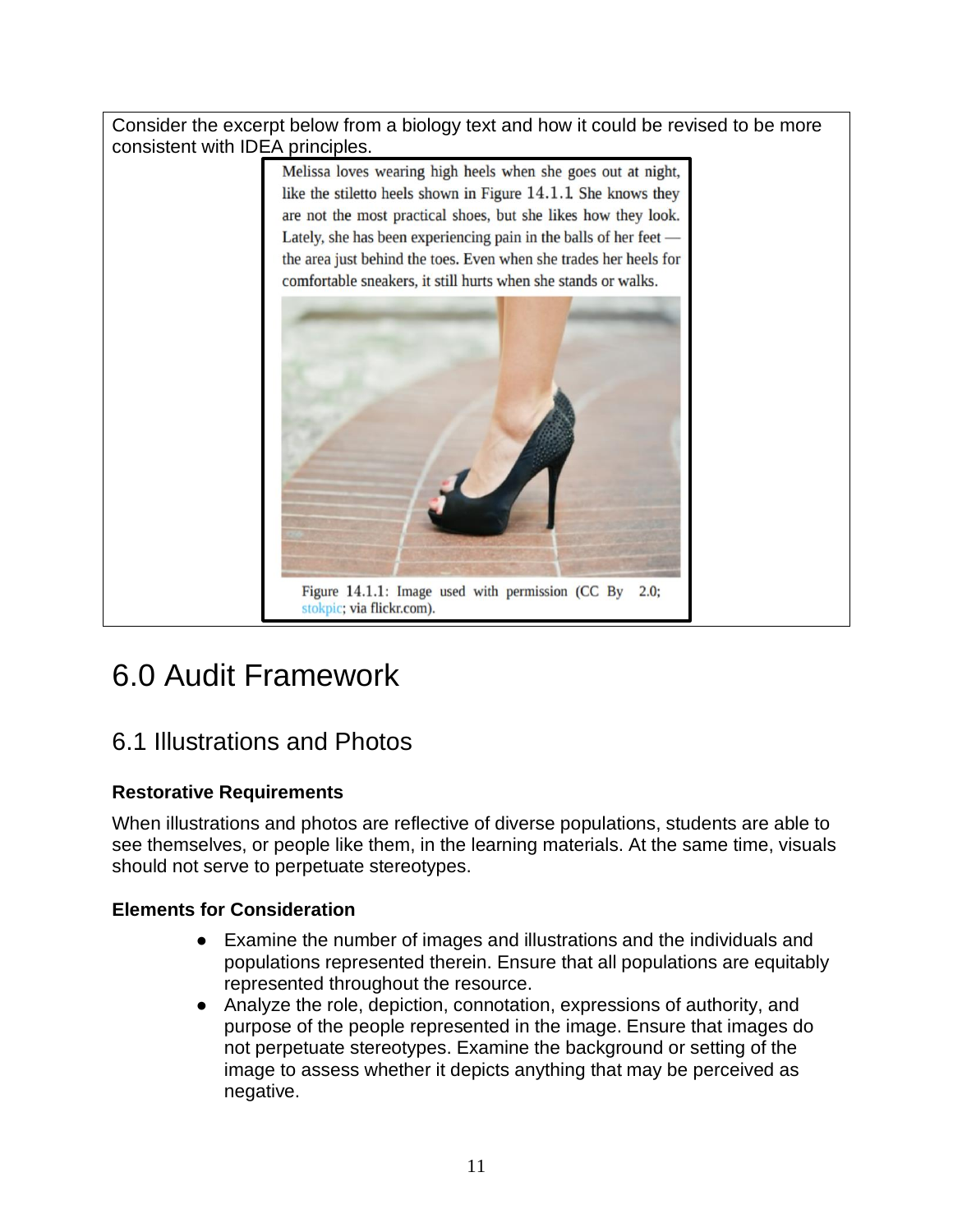Consider the excerpt below from a biology text and how it could be revised to be more consistent with IDEA principles.



# <span id="page-10-0"></span>6.0 Audit Framework

## <span id="page-10-1"></span>6.1 Illustrations and Photos

## <span id="page-10-2"></span>**Restorative Requirements**

<span id="page-10-3"></span>When illustrations and photos are reflective of diverse populations, students are able to see themselves, or people like them, in the learning materials. At the same time, visuals should not serve to perpetuate stereotypes.

- Examine the number of images and illustrations and the individuals and populations represented therein. Ensure that all populations are equitably represented throughout the resource.
- Analyze the role, depiction, connotation, expressions of authority, and purpose of the people represented in the image. Ensure that images do not perpetuate stereotypes. Examine the background or setting of the image to assess whether it depicts anything that may be perceived as negative.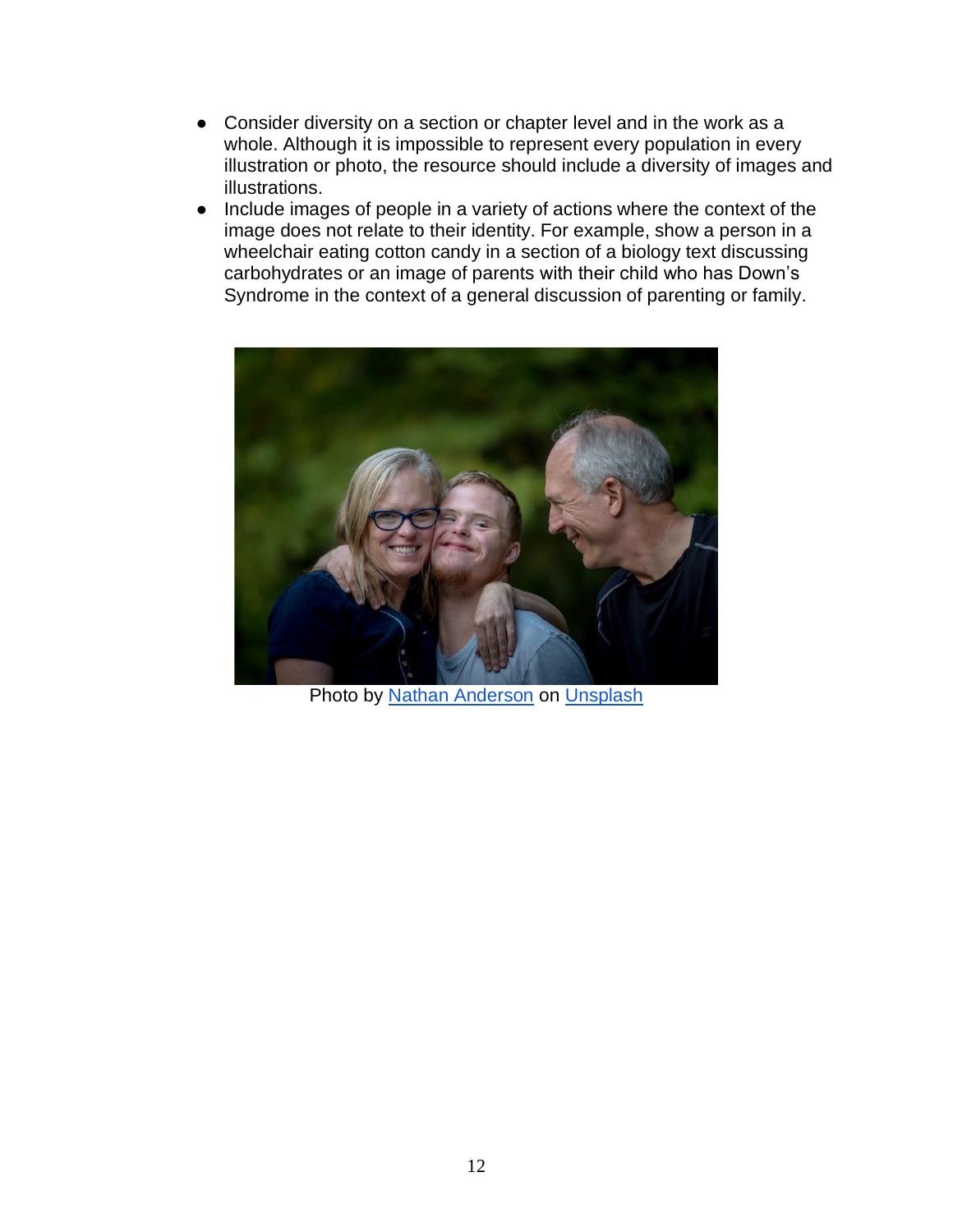- Consider diversity on a section or chapter level and in the work as a whole. Although it is impossible to represent every population in every illustration or photo, the resource should include a diversity of images and illustrations.
- Include images of people in a variety of actions where the context of the image does not relate to their identity. For example, show a person in a wheelchair eating cotton candy in a section of a biology text discussing carbohydrates or an image of parents with their child who has Down's Syndrome in the context of a general discussion of parenting or family.



Photo by [Nathan Anderson](https://unsplash.com/@nathananderson?utm_source=unsplash&utm_medium=referral&utm_content=creditCopyText) o[n](https://unsplash.com/s/photos/downs-syndrome?utm_source=unsplash&utm_medium=referral&utm_content=creditCopyText) [Unsplash](https://unsplash.com/s/photos/downs-syndrome?utm_source=unsplash&utm_medium=referral&utm_content=creditCopyText)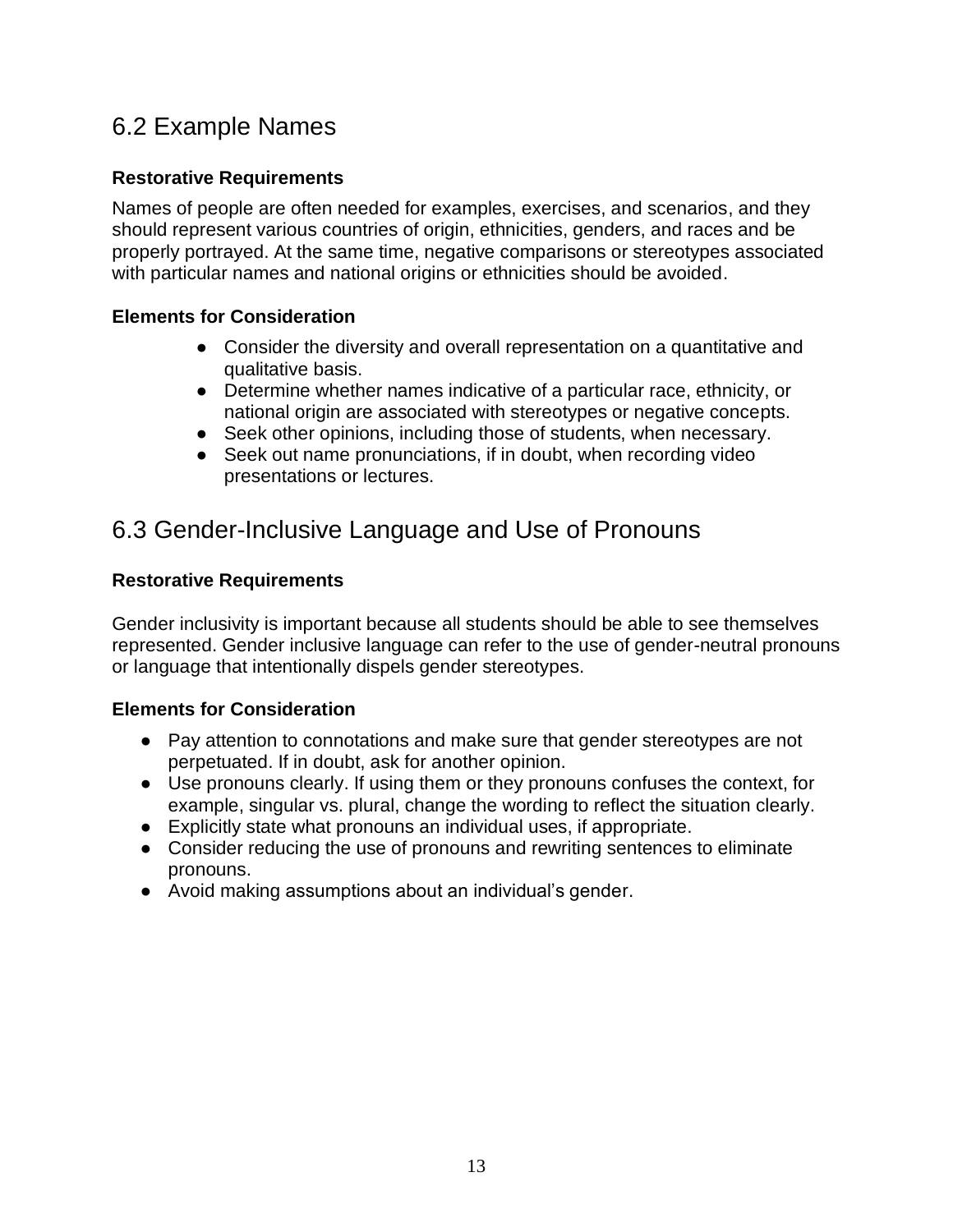## <span id="page-12-0"></span>6.2 Example Names

## <span id="page-12-1"></span>**Restorative Requirements**

Names of people are often needed for examples, exercises, and scenarios, and they should represent various countries of origin, ethnicities, genders, and races and be properly portrayed. At the same time, negative comparisons or stereotypes associated with particular names and national origins or ethnicities should be avoided.

## <span id="page-12-2"></span>**Elements for Consideration**

- Consider the diversity and overall representation on a quantitative and qualitative basis.
- Determine whether names indicative of a particular race, ethnicity, or national origin are associated with stereotypes or negative concepts.
- Seek other opinions, including those of students, when necessary.
- Seek out name pronunciations, if in doubt, when recording video presentations or lectures.

## <span id="page-12-3"></span>6.3 Gender-Inclusive Language and Use of Pronouns

## <span id="page-12-4"></span>**Restorative Requirements**

Gender inclusivity is important because all students should be able to see themselves represented. Gender inclusive language can refer to the use of gender-neutral pronouns or language that intentionally dispels gender stereotypes.

- <span id="page-12-5"></span>• Pay attention to connotations and make sure that gender stereotypes are not perpetuated. If in doubt, ask for another opinion.
- Use pronouns clearly. If using them or they pronouns confuses the context, for example, singular vs. plural, change the wording to reflect the situation clearly.
- Explicitly state what pronouns an individual uses, if appropriate.
- Consider reducing the use of pronouns and rewriting sentences to eliminate pronouns.
- Avoid making assumptions about an individual's gender.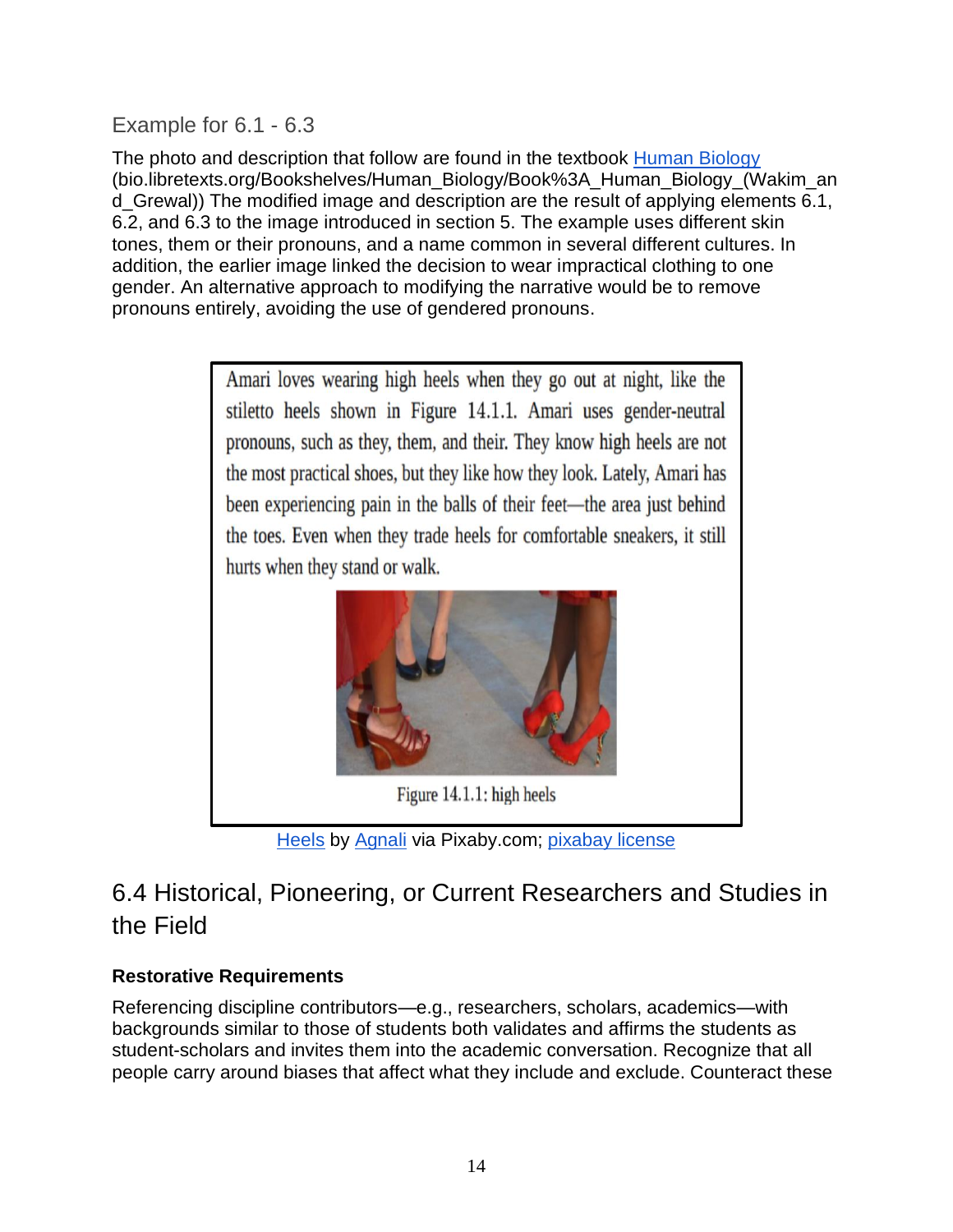<span id="page-13-0"></span>Example for 6.1 - 6.3

The photo and description that follow are found in the textbook [Human Biology](https://bio.libretexts.org/Bookshelves/Human_Biology/Book%3A_Human_Biology_(Wakim_and_Grewal)) (bio.libretexts.org/Bookshelves/Human\_Biology/Book%3A\_Human\_Biology\_(Wakim\_an d\_Grewal)) The modified image and description are the result of applying elements 6.1, 6.2, and 6.3 to the image introduced in section 5. The example uses different skin tones, them or their pronouns, and a name common in several different cultures. In addition, the earlier image linked the decision to wear impractical clothing to one gender. An alternative approach to modifying the narrative would be to remove pronouns entirely, avoiding the use of gendered pronouns.



[Heels](https://pixabay.com/photos/shoes-high-heels-women-gray-shoes-1676398/) b[y](https://pixabay.com/users/agnali-3087927/) [Agnali](https://pixabay.com/users/agnali-3087927/) via Pixaby.com[;](https://pixabay.com/service/license/) [pixabay license](https://pixabay.com/service/license/)

## <span id="page-13-1"></span>6.4 Historical, Pioneering, or Current Researchers and Studies in the Field

## <span id="page-13-2"></span>**Restorative Requirements**

Referencing discipline contributors—e.g., researchers, scholars, academics—with backgrounds similar to those of students both validates and affirms the students as student-scholars and invites them into the academic conversation. Recognize that all people carry around biases that affect what they include and exclude. Counteract these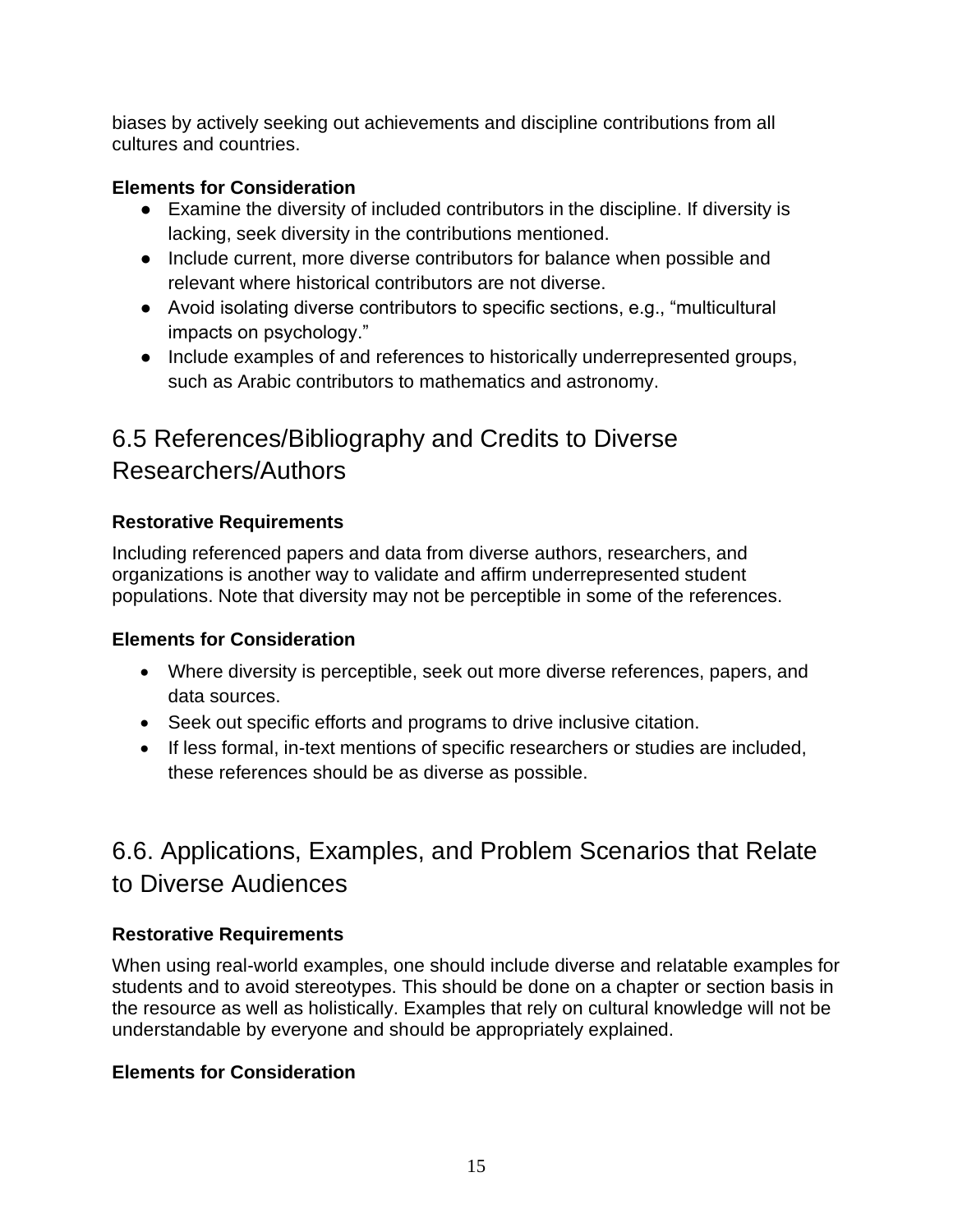biases by actively seeking out achievements and discipline contributions from all cultures and countries.

## **Elements for Consideration**

- Examine the diversity of included contributors in the discipline. If diversity is lacking, seek diversity in the contributions mentioned.
- Include current, more diverse contributors for balance when possible and relevant where historical contributors are not diverse.
- Avoid isolating diverse contributors to specific sections, e.g., "multicultural impacts on psychology."
- Include examples of and references to historically underrepresented groups, such as Arabic contributors to mathematics and astronomy.

## <span id="page-14-0"></span>6.5 References/Bibliography and Credits to Diverse Researchers/Authors

## <span id="page-14-1"></span>**Restorative Requirements**

Including referenced papers and data from diverse authors, researchers, and organizations is another way to validate and affirm underrepresented student populations. Note that diversity may not be perceptible in some of the references.

## <span id="page-14-2"></span>**Elements for Consideration**

- Where diversity is perceptible, seek out more diverse references, papers, and data sources.
- Seek out specific efforts and programs to drive inclusive citation.
- If less formal, in-text mentions of specific researchers or studies are included, these references should be as diverse as possible.

## <span id="page-14-3"></span>6.6. Applications, Examples, and Problem Scenarios that Relate to Diverse Audiences

## <span id="page-14-4"></span>**Restorative Requirements**

When using real-world examples, one should include diverse and relatable examples for students and to avoid stereotypes. This should be done on a chapter or section basis in the resource as well as holistically. Examples that rely on cultural knowledge will not be understandable by everyone and should be appropriately explained.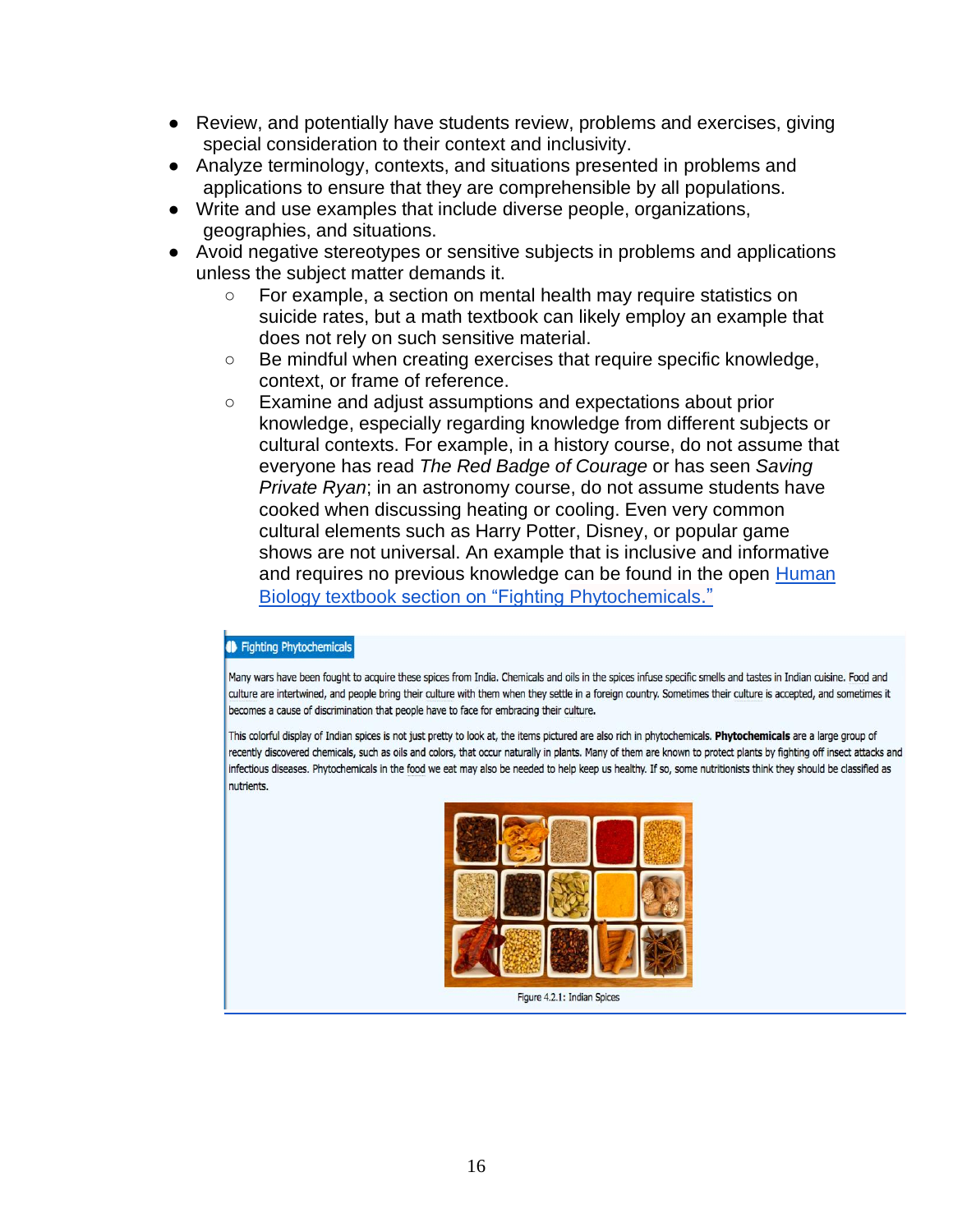- Review, and potentially have students review, problems and exercises, giving special consideration to their context and inclusivity.
- Analyze terminology, contexts, and situations presented in problems and applications to ensure that they are comprehensible by all populations.
- Write and use examples that include diverse people, organizations, geographies, and situations.
- Avoid negative stereotypes or sensitive subjects in problems and applications unless the subject matter demands it.
	- For example, a section on mental health may require statistics on suicide rates, but a math textbook can likely employ an example that does not rely on such sensitive material.
	- Be mindful when creating exercises that require specific knowledge, context, or frame of reference.
	- Examine and adjust assumptions and expectations about prior knowledge, especially regarding knowledge from different subjects or cultural contexts. For example, in a history course, do not assume that everyone has read *The Red Badge of Courage* or has seen *Saving Private Ryan*; in an astronomy course, do not assume students have cooked when discussing heating or cooling. Even very common cultural elements such as Harry Potter, Disney, or popular game shows are not universal. An example that is inclusive and informative and requires no previous knowledge can be found in the ope[n](https://bio.libretexts.org/Bookshelves/Human_Biology/Book%3A_Human_Biology_(Wakim_and_Grewal)/04%3A_Nutrition/4.2%3A_Nutrients) [Human](https://bio.libretexts.org/Bookshelves/Human_Biology/Book%3A_Human_Biology_(Wakim_and_Grewal)/04%3A_Nutrition/4.2%3A_Nutrients)  Biology textbook [section on "Fighting Phytochemicals](https://bio.libretexts.org/Bookshelves/Human_Biology/Book%3A_Human_Biology_(Wakim_and_Grewal)/04%3A_Nutrition/4.2%3A_Nutrients)[."](https://bio.libretexts.org/Bookshelves/Human_Biology/Book%3A_Human_Biology_(Wakim_and_Grewal)/04%3A_Nutrition/4.2%3A_Nutrients)

#### **ID** Fighting Phytochemicals

Many wars have been fought to acquire these spices from India. Chemicals and oils in the spices infuse specific smells and tastes in Indian cuisine. Food and culture are intertwined, and people bring their culture with them when they settle in a foreign country. Sometimes their culture is accepted, and sometimes it becomes a cause of discrimination that people have to face for embracing their culture.

<span id="page-15-0"></span>This colorful display of Indian spices is not just pretty to look at, the items pictured are also rich in phytochemicals. Phytochemicals are a large group of recently discovered chemicals, such as oils and colors, that occur naturally in plants. Many of them are known to protect plants by fighting off insect attacks and infectious diseases. Phytochemicals in the food we eat may also be needed to help keep us healthy. If so, some nutritionists think they should be classified as nutrients.



Figure 4.2.1: Indian Spices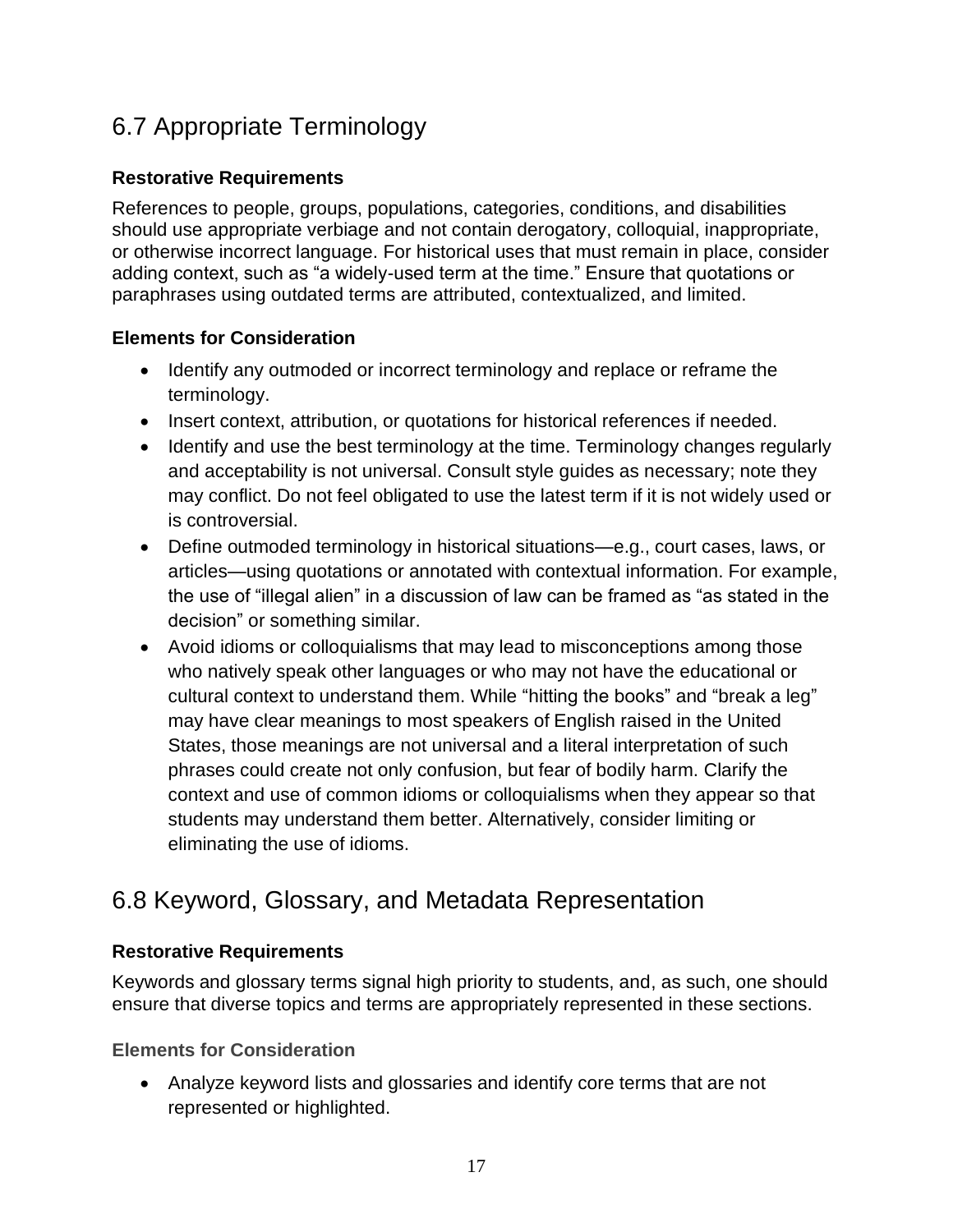## 6.7 Appropriate Terminology

## <span id="page-16-0"></span>**Restorative Requirements**

References to people, groups, populations, categories, conditions, and disabilities should use appropriate verbiage and not contain derogatory, colloquial, inappropriate, or otherwise incorrect language. For historical uses that must remain in place, consider adding context, such as "a widely-used term at the time." Ensure that quotations or paraphrases using outdated terms are attributed, contextualized, and limited.

## <span id="page-16-1"></span>**Elements for Consideration**

- Identify any outmoded or incorrect terminology and replace or reframe the terminology.
- Insert context, attribution, or quotations for historical references if needed.
- Identify and use the best terminology at the time. Terminology changes regularly and acceptability is not universal. Consult style guides as necessary; note they may conflict. Do not feel obligated to use the latest term if it is not widely used or is controversial.
- Define outmoded terminology in historical situations—e.g., court cases, laws, or articles—using quotations or annotated with contextual information. For example, the use of "illegal alien" in a discussion of law can be framed as "as stated in the decision" or something similar.
- Avoid idioms or colloquialisms that may lead to misconceptions among those who natively speak other languages or who may not have the educational or cultural context to understand them. While "hitting the books" and "break a leg" may have clear meanings to most speakers of English raised in the United States, those meanings are not universal and a literal interpretation of such phrases could create not only confusion, but fear of bodily harm. Clarify the context and use of common idioms or colloquialisms when they appear so that students may understand them better. Alternatively, consider limiting or eliminating the use of idioms.

## <span id="page-16-2"></span>6.8 Keyword, Glossary, and Metadata Representation

## <span id="page-16-3"></span>**Restorative Requirements**

Keywords and glossary terms signal high priority to students, and, as such, one should ensure that diverse topics and terms are appropriately represented in these sections.

<span id="page-16-4"></span>**Elements for Consideration**

• Analyze keyword lists and glossaries and identify core terms that are not represented or highlighted.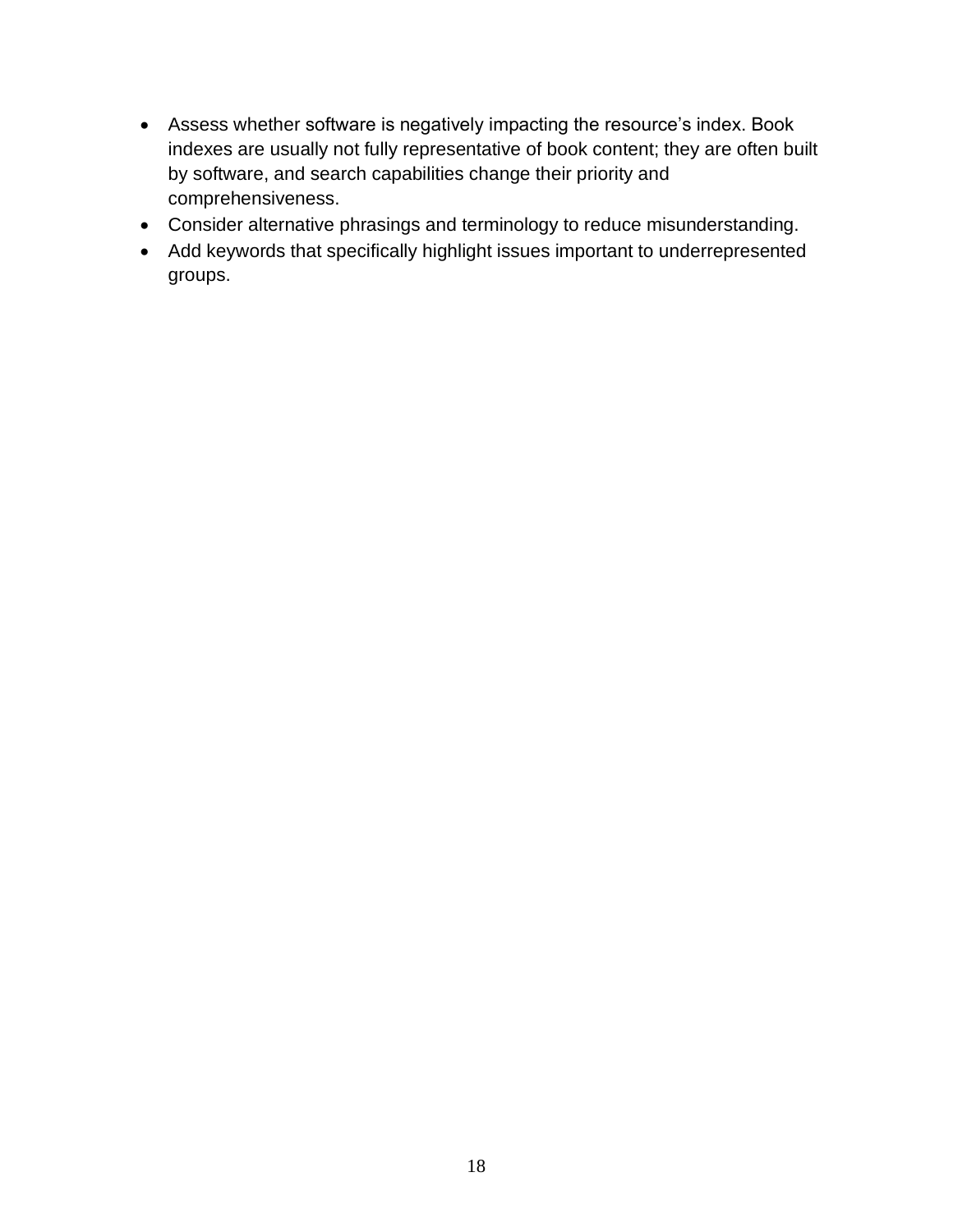- Assess whether software is negatively impacting the resource's index. Book indexes are usually not fully representative of book content; they are often built by software, and search capabilities change their priority and comprehensiveness.
- Consider alternative phrasings and terminology to reduce misunderstanding.
- Add keywords that specifically highlight issues important to underrepresented groups.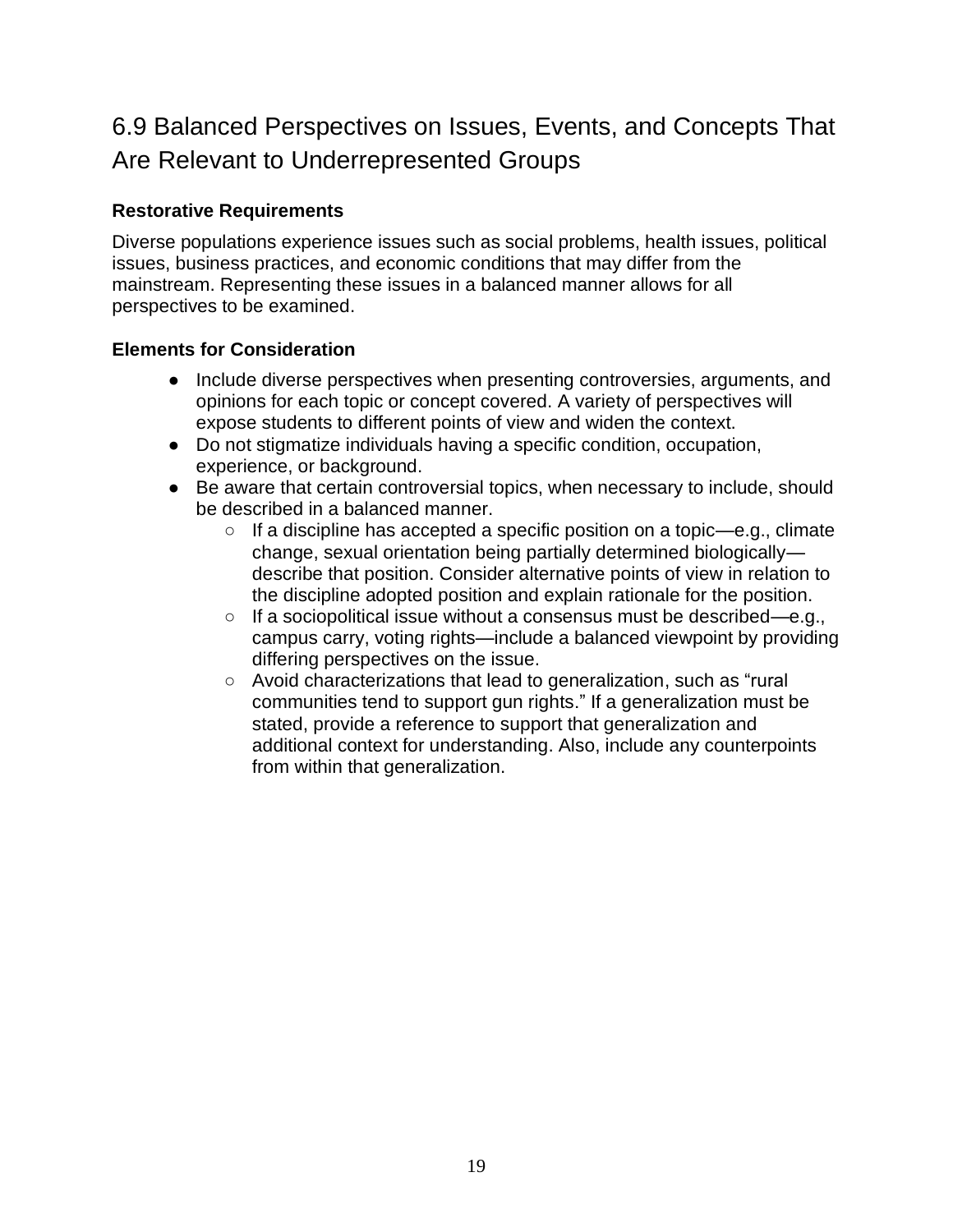## <span id="page-18-0"></span>6.9 Balanced Perspectives on Issues, Events, and Concepts That Are Relevant to Underrepresented Groups

## <span id="page-18-1"></span>**Restorative Requirements**

Diverse populations experience issues such as social problems, health issues, political issues, business practices, and economic conditions that may differ from the mainstream. Representing these issues in a balanced manner allows for all perspectives to be examined.

- <span id="page-18-2"></span>● Include diverse perspectives when presenting controversies, arguments, and opinions for each topic or concept covered. A variety of perspectives will expose students to different points of view and widen the context.
- Do not stigmatize individuals having a specific condition, occupation, experience, or background.
- Be aware that certain controversial topics, when necessary to include, should be described in a balanced manner.
	- $\circ$  If a discipline has accepted a specific position on a topic—e.g., climate change, sexual orientation being partially determined biologically describe that position. Consider alternative points of view in relation to the discipline adopted position and explain rationale for the position.
	- If a sociopolitical issue without a consensus must be described—e.g., campus carry, voting rights—include a balanced viewpoint by providing differing perspectives on the issue.
	- Avoid characterizations that lead to generalization, such as "rural communities tend to support gun rights." If a generalization must be stated, provide a reference to support that generalization and additional context for understanding. Also, include any counterpoints from within that generalization.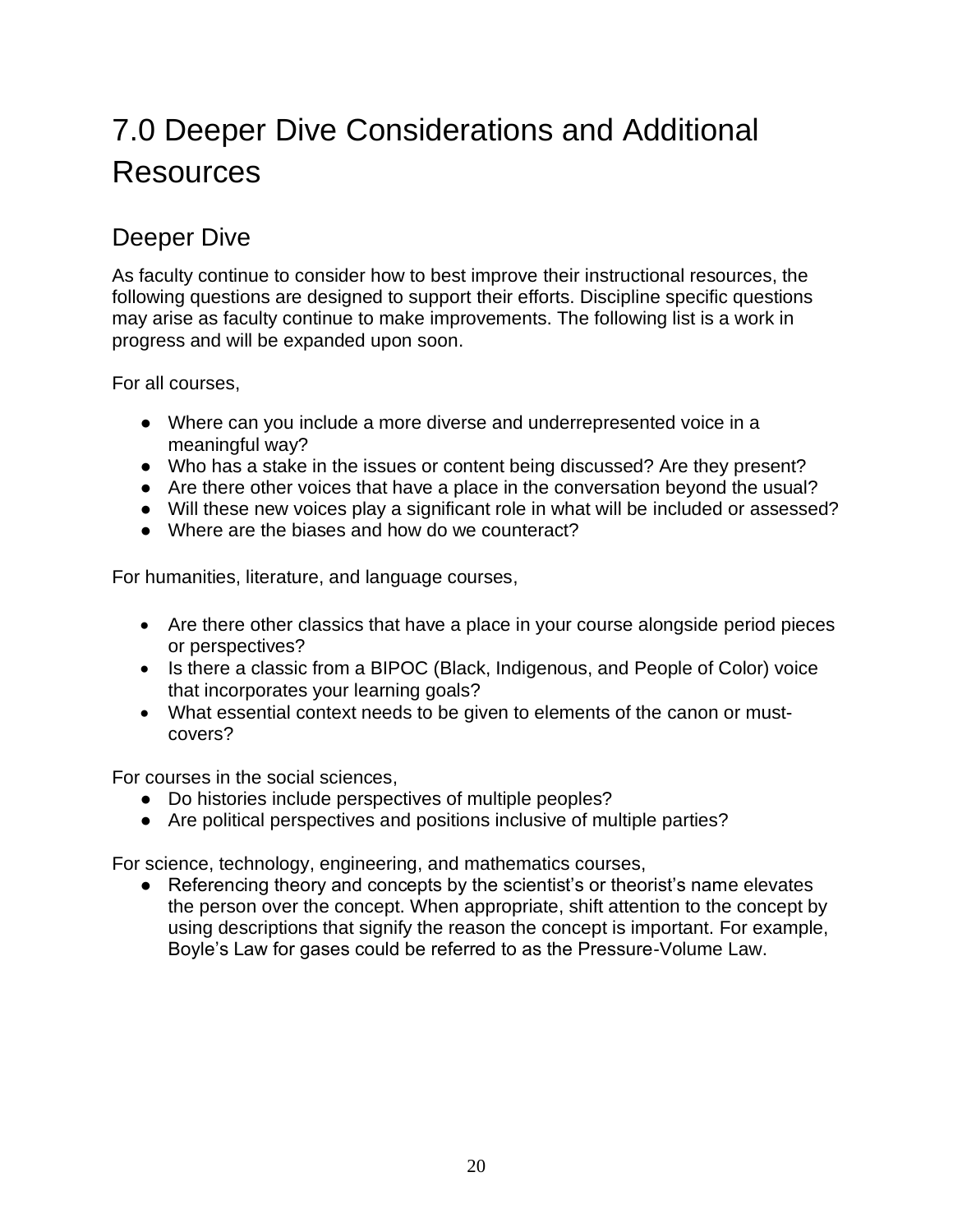# <span id="page-19-0"></span>7.0 Deeper Dive Considerations and Additional Resources

## <span id="page-19-1"></span>Deeper Dive

As faculty continue to consider how to best improve their instructional resources, the following questions are designed to support their efforts. Discipline specific questions may arise as faculty continue to make improvements. The following list is a work in progress and will be expanded upon soon.

For all courses,

- Where can you include a more diverse and underrepresented voice in a meaningful way?
- Who has a stake in the issues or content being discussed? Are they present?
- Are there other voices that have a place in the conversation beyond the usual?
- Will these new voices play a significant role in what will be included or assessed?
- Where are the biases and how do we counteract?

For humanities, literature, and language courses,

- Are there other classics that have a place in your course alongside period pieces or perspectives?
- Is there a classic from a BIPOC (Black, Indigenous, and People of Color) voice that incorporates your learning goals?
- What essential context needs to be given to elements of the canon or mustcovers?

For courses in the social sciences,

- Do histories include perspectives of multiple peoples?
- Are political perspectives and positions inclusive of multiple parties?

For science, technology, engineering, and mathematics courses,

● Referencing theory and concepts by the scientist's or theorist's name elevates the person over the concept. When appropriate, shift attention to the concept by using descriptions that signify the reason the concept is important. For example, Boyle's Law for gases could be referred to as the Pressure-Volume Law.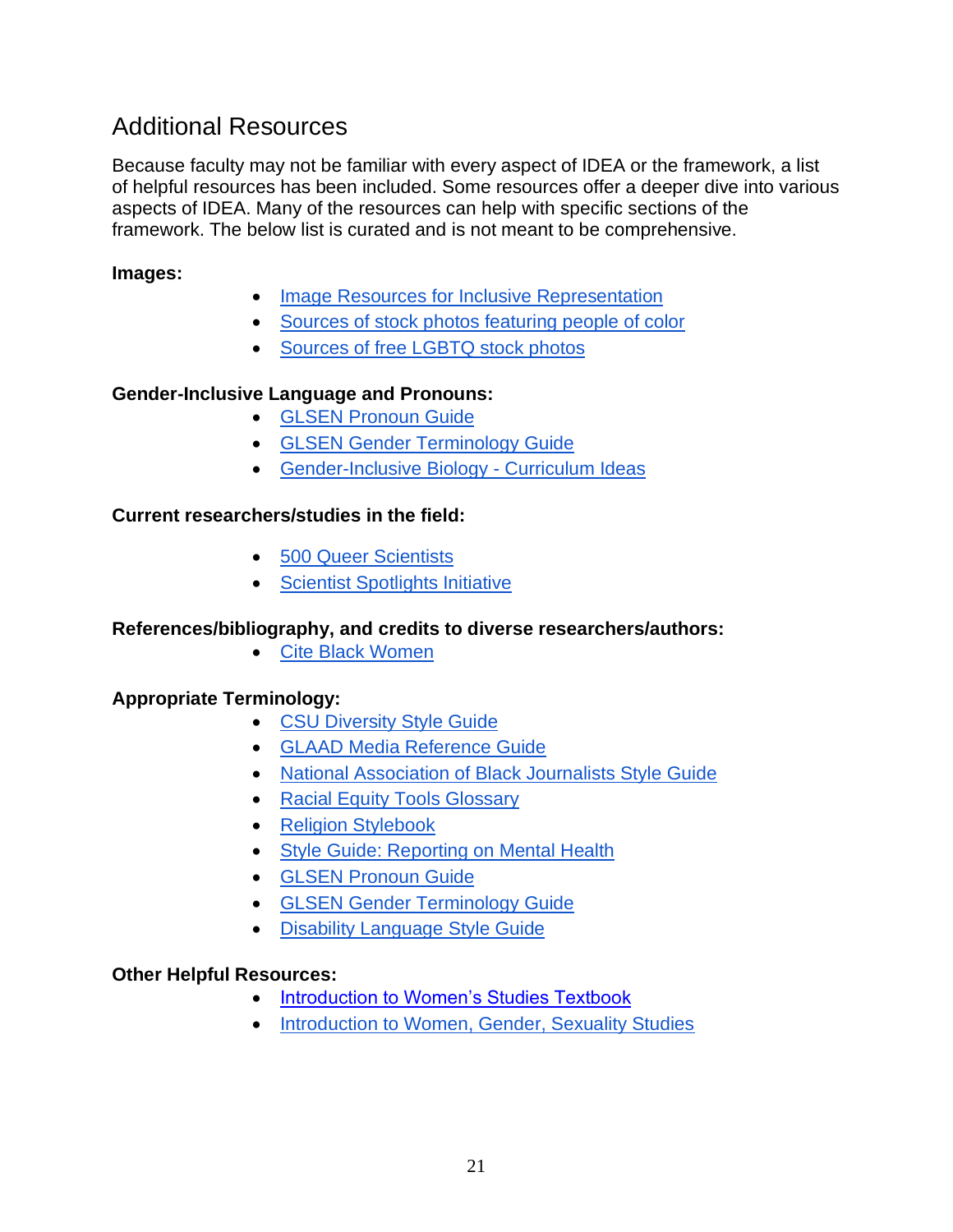## <span id="page-20-0"></span>Additional Resources

Because faculty may not be familiar with every aspect of IDEA or the framework, a list of helpful resources has been included. Some resources offer a deeper dive into various aspects of IDEA. Many of the resources can help with specific sections of the framework. The below list is curated and is not meant to be comprehensive.

## **Images:**

- [Image Resources for Inclusive Representation](https://butte.libguides.com/OERZTCfaculty/equity)
- [Sources of stock photos featuring people of color](https://www.diversetechgeek.com/stock-photos-people-of-color/)
- [Sources of free LGBTQ stock photos](https://www.diversetechgeek.com/sources-free-lgbtq-stock-photos/)

### **Gender-Inclusive Language and Pronouns:**

- [GLSEN Pronoun Guide](https://www.glsen.org/activity/pronouns-guide-glsen)
- [GLSEN Gender Terminology Guide](https://www.glsen.org/activity/gender-terminology)
- [Gender-Inclusive Biology -](https://www.genderinclusivebiology.com/) Curriculum Ideas

### **Current researchers/studies in the field:**

- [500 Queer Scientists](https://500queerscientists.com/)
- [Scientist Spotlights Initiative](https://scientistspotlights.org/)

### **References/bibliography, and credits to diverse researchers/authors:**

• [Cite Black Women](https://www.citeblackwomencollective.org/)

### **Appropriate Terminology:**

- [CSU Diversity Style Guide](https://www2.calstate.edu/csu-system/csu-branding-standards/editorial-style-guide/Pages/diversity-style-guide.aspx)
- [GLAAD Media Reference Guide](https://www.glaad.org/reference)
- [National Association of Black Journalists Style Guide](https://www.nabj.org/page/styleguide)
- [Racial Equity Tools Glossary](https://www.racialequitytools.org/glossary)
- [Religion Stylebook](http://religionstylebook.com/entries/letter/a)
- [Style Guide: Reporting on Mental Health](https://www.sprc.org/resources-programs/style-guide-reporting-mental-health)
- [GLSEN Pronoun Guide](https://www.glsen.org/activity/pronouns-guide-glsen)
- [GLSEN Gender Terminology Guide](https://www.glsen.org/activity/gender-terminology)
- [Disability Language Style Guide](https://ncdj.org/style-guide/)

### **Other Helpful Resources:**

- [Introduction to Women's Studies Textbook](https://laulima.hawaii.edu/access/content/user/kfrench/sociology/Family_Text/Womens%20Studies%20151%20Textbook.pdf)
- [Introduction to Women, Gender, Sexuality Studies](https://open.umn.edu/opentextbooks/textbooks/461)